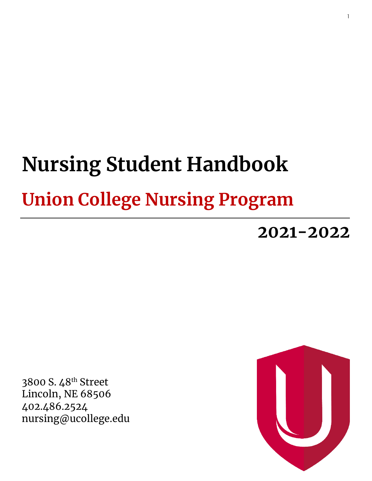# **Nursing Student Handbook Union College Nursing Program**

**2021-2022**

3800 S. 48th Street Lincoln, NE 68506 402.486.2524 nursing@ucollege.edu

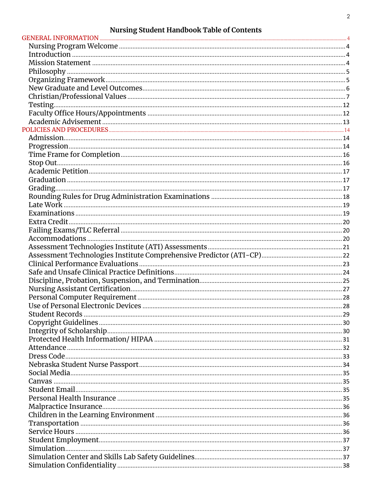# **Nursing Student Handbook Table of Contents**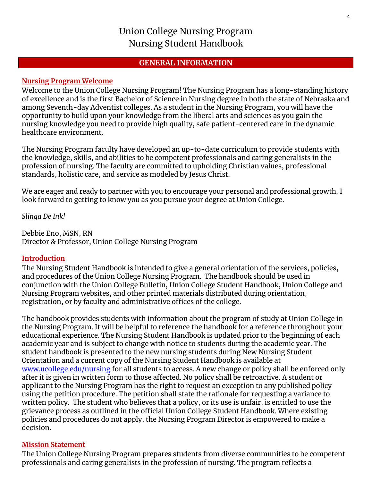# Union College Nursing Program Nursing Student Handbook

#### **GENERAL INFORMATION**

#### <span id="page-3-1"></span><span id="page-3-0"></span>**Nursing Program Welcome**

Welcome to the Union College Nursing Program! The Nursing Program has a long-standing history of excellence and is the first Bachelor of Science in Nursing degree in both the state of Nebraska and among Seventh-day Adventist colleges. As a student in the Nursing Program, you will have the opportunity to build upon your knowledge from the liberal arts and sciences as you gain the nursing knowledge you need to provide high quality, safe patient-centered care in the dynamic healthcare environment.

The Nursing Program faculty have developed an up-to-date curriculum to provide students with the knowledge, skills, and abilities to be competent professionals and caring generalists in the profession of nursing. The faculty are committed to upholding Christian values, professional standards, holistic care, and service as modeled by Jesus Christ.

We are eager and ready to partner with you to encourage your personal and professional growth. I look forward to getting to know you as you pursue your degree at Union College.

*Slinga De Ink!*

Debbie Eno, MSN, RN Director & Professor, Union College Nursing Program

#### <span id="page-3-2"></span>**Introduction**

The Nursing Student Handbook is intended to give a general orientation of the services, policies, and procedures of the Union College Nursing Program. The handbook should be used in conjunction with the Union College Bulletin, Union College Student Handbook, Union College and Nursing Program websites, and other printed materials distributed during orientation, registration, or by faculty and administrative offices of the college.

The handbook provides students with information about the program of study at Union College in the Nursing Program. It will be helpful to reference the handbook for a reference throughout your educational experience. The Nursing Student Handbook is updated prior to the beginning of each academic year and is subject to change with notice to students during the academic year. The student handbook is presented to the new nursing students during New Nursing Student Orientation and a current copy of the Nursing Student Handbook is available at [www.ucollege.edu/nursing](http://www.ucollege.edu/nursing) for all students to access. A new change or policy shall be enforced only after it is given in written form to those affected. No policy shall be retroactive**.** A student or applicant to the Nursing Program has the right to request an exception to any published policy using the petition procedure. The petition shall state the rationale for requesting a variance to written policy. The student who believes that a policy, or its use is unfair, is entitled to use the grievance process as outlined in the official Union College Student Handbook. Where existing policies and procedures do not apply, the Nursing Program Director is empowered to make a decision.

#### <span id="page-3-3"></span>**Mission Statement**

The Union College Nursing Program prepares students from diverse communities to be competent professionals and caring generalists in the profession of nursing. The program reflects a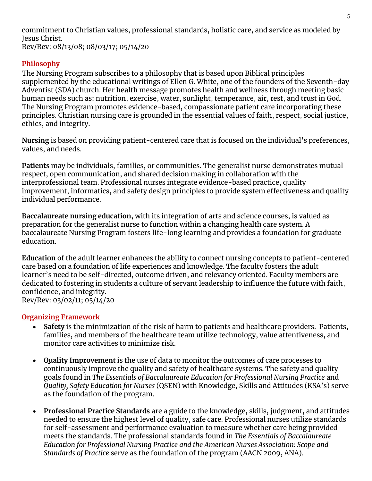commitment to Christian values, professional standards, holistic care, and service as modeled by Jesus Christ. Rev/Rev: 08/13/08; 08/03/17; 05/14/20

#### <span id="page-4-0"></span>**Philosophy**

The Nursing Program subscribes to a philosophy that is based upon Biblical principles supplemented by the educational writings of Ellen G. White, one of the founders of the Seventh-day Adventist (SDA) church. Her **health** message promotes health and wellness through meeting basic human needs such as: nutrition, exercise, water, sunlight, temperance, air, rest, and trust in God. The Nursing Program promotes evidence-based, compassionate patient care incorporating these principles. Christian nursing care is grounded in the essential values of faith, respect, social justice, ethics, and integrity.

**Nursing** is based on providing patient-centered care that is focused on the individual's preferences, values, and needs.

**Patients** may be individuals, families, or communities. The generalist nurse demonstrates mutual respect, open communication, and shared decision making in collaboration with the interprofessional team. Professional nurses integrate evidence-based practice, quality improvement, informatics, and safety design principles to provide system effectiveness and quality individual performance.

**Baccalaureate nursing education,** with its integration of arts and science courses, is valued as preparation for the generalist nurse to function within a changing health care system. A baccalaureate Nursing Program fosters life-long learning and provides a foundation for graduate education.

**Education** of the adult learner enhances the ability to connect nursing concepts to patient-centered care based on a foundation of life experiences and knowledge. The faculty fosters the adult learner's need to be self-directed, outcome driven, and relevancy oriented. Faculty members are dedicated to fostering in students a culture of servant leadership to influence the future with faith, confidence, and integrity. Rev/Rev: 03/02/11; 05/14/20

#### <span id="page-4-1"></span>**Organizing Framework**

- **Safety** is the minimization of the risk of harm to patients and healthcare providers. Patients, families, and members of the healthcare team utilize technology, value attentiveness, and monitor care activities to minimize risk.
- **Quality Improvement** is the use of data to monitor the outcomes of care processes to continuously improve the quality and safety of healthcare systems. The safety and quality goals found in *The Essentials of Baccalaureate Education for Professional Nursing Practice* and *Quality, Safety Education for Nurses* (QSEN) with Knowledge, Skills and Attitudes (KSA's) serve as the foundation of the program.
- **Professional Practice Standards** are a guide to the knowledge, skills, judgment, and attitudes needed to ensure the highest level of quality, safe care. Professional nurses utilize standards for self-assessment and performance evaluation to measure whether care being provided meets the standards. The professional standards found in *The Essentials of Baccalaureate Education for Professional Nursing Practice and the American Nurses Association: Scope and Standards of Practice* serve as the foundation of the program (AACN 2009, ANA).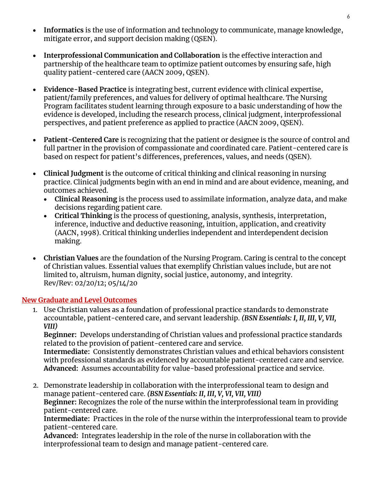- **Informatics** is the use of information and technology to communicate, manage knowledge, mitigate error, and support decision making (QSEN).
- **Interprofessional Communication and Collaboration** is the effective interaction and partnership of the healthcare team to optimize patient outcomes by ensuring safe, high quality patient-centered care (AACN 2009, QSEN).
- **Evidence-Based Practice** is integrating best, current evidence with clinical expertise, patient/family preferences, and values for delivery of optimal healthcare. The Nursing Program facilitates student learning through exposure to a basic understanding of how the evidence is developed, including the research process, clinical judgment, interprofessional perspectives, and patient preference as applied to practice (AACN 2009, QSEN).
- **Patient-Centered Care** is recognizing that the patient or designee is the source of control and full partner in the provision of compassionate and coordinated care. Patient-centered care is based on respect for patient's differences, preferences, values, and needs (QSEN).
- **Clinical Judgment** is the outcome of critical thinking and clinical reasoning in nursing practice. Clinical judgments begin with an end in mind and are about evidence, meaning, and outcomes achieved.
	- **Clinical Reasoning** is the process used to assimilate information, analyze data, and make decisions regarding patient care.
	- **Critical Thinking** is the process of questioning, analysis, synthesis, interpretation, inference, inductive and deductive reasoning, intuition, application, and creativity (AACN, 1998). Critical thinking underlies independent and interdependent decision making.
- **Christian Values** are the foundation of the Nursing Program. Caring is central to the concept of Christian values. Essential values that exemplify Christian values include, but are not limited to, altruism, human dignity, social justice, autonomy, and integrity. Rev/Rev: 02/20/12; 05/14/20

#### <span id="page-5-0"></span>**New Graduate and Level Outcomes**

1. Use Christian values as a foundation of professional practice standards to demonstrate accountable, patient-centered care, and servant leadership. *(BSN Essentials: I, II, III, V, VII, VIII)*

**Beginner:** Develops understanding of Christian values and professional practice standards related to the provision of patient-centered care and service.

**Intermediate:** Consistently demonstrates Christian values and ethical behaviors consistent with professional standards as evidenced by accountable patient-centered care and service. **Advanced:** Assumes accountability for value-based professional practice and service.

2. Demonstrate leadership in collaboration with the interprofessional team to design and manage patient-centered care. *(BSN Essentials: II, III, V, VI, VII, VIII)* **Beginner:** Recognizes the role of the nurse within the interprofessional team in providing patient-centered care.

**Intermediate:** Practices in the role of the nurse within the interprofessional team to provide patient-centered care.

**Advanced:** Integrates leadership in the role of the nurse in collaboration with the interprofessional team to design and manage patient-centered care.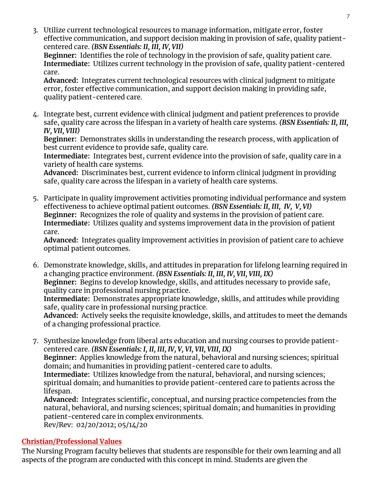3. Utilize current technological resources to manage information, mitigate error, foster effective communication, and support decision making in provision of safe, quality patientcentered care. *(BSN Essentials: II, III, IV, VII)*

**Beginner:** Identifies the role of technology in the provision of safe, quality patient care. **Intermediate:** Utilizes current technology in the provision of safe, quality patient-centered care.

**Advanced:** Integrates current technological resources with clinical judgment to mitigate error, foster effective communication, and support decision making in providing safe, quality patient-centered care.

4. Integrate best, current evidence with clinical judgment and patient preferences to provide safe, quality care across the lifespan in a variety of health care systems. *(BSN Essentials: II, III, IV, VII, VIII)*

**Beginner:** Demonstrates skills in understanding the research process, with application of best current evidence to provide safe, quality care.

**Intermediate:** Integrates best, current evidence into the provision of safe, quality care in a variety of health care systems.

**Advanced:** Discriminates best, current evidence to inform clinical judgment in providing safe, quality care across the lifespan in a variety of health care systems.

5. Participate in quality improvement activities promoting individual performance and system effectiveness to achieve optimal patient outcomes. *(BSN Essentials: II, III, IV, V, VI)* **Beginner:** Recognizes the role of quality and systems in the provision of patient care. **Intermediate:** Utilizes quality and systems improvement data in the provision of patient care.

**Advanced:** Integrates quality improvement activities in provision of patient care to achieve optimal patient outcomes.

6. Demonstrate knowledge, skills, and attitudes in preparation for lifelong learning required in a changing practice environment. *(BSN Essentials: II, III, IV, VII, VIII, IX)* **Beginner:** Begins to develop knowledge, skills, and attitudes necessary to provide safe, quality care in professional nursing practice.

**Intermediate:** Demonstrates appropriate knowledge, skills, and attitudes while providing safe, quality care in professional nursing practice.

**Advanced:** Actively seeks the requisite knowledge, skills, and attitudes to meet the demands of a changing professional practice.

7. Synthesize knowledge from liberal arts education and nursing courses to provide patientcentered care. *(BSN Essentials: I, II, III, IV, V, VI, VII, VIII, IX)* **Beginner:** Applies knowledge from the natural, behavioral and nursing sciences; spiritual domain; and humanities in providing patient-centered care to adults. **Intermediate:** Utilizes knowledge from the natural, behavioral, and nursing sciences; spiritual domain; and humanities to provide patient-centered care to patients across the lifespan.

**Advanced:** Integrates scientific, conceptual, and nursing practice competencies from the natural, behavioral, and nursing sciences; spiritual domain; and humanities in providing patient-centered care in complex environments.

Rev/Rev: 02/20/2012; 05/14/20

#### <span id="page-6-0"></span>**Christian/Professional Values**

The Nursing Program faculty believes that students are responsible for their own learning and all aspects of the program are conducted with this concept in mind. Students are given the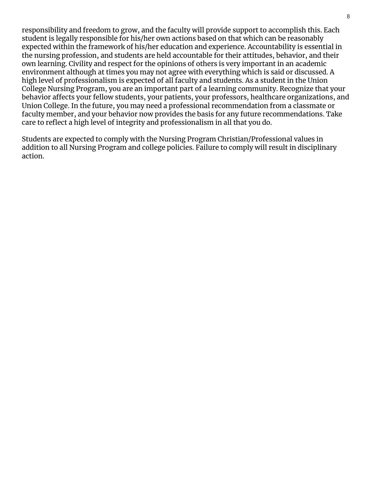responsibility and freedom to grow, and the faculty will provide support to accomplish this. Each student is legally responsible for his/her own actions based on that which can be reasonably expected within the framework of his/her education and experience. Accountability is essential in the nursing profession, and students are held accountable for their attitudes, behavior, and their own learning. Civility and respect for the opinions of others is very important in an academic environment although at times you may not agree with everything which is said or discussed. A high level of professionalism is expected of all faculty and students. As a student in the Union College Nursing Program, you are an important part of a learning community. Recognize that your behavior affects your fellow students, your patients, your professors, healthcare organizations, and Union College. In the future, you may need a professional recommendation from a classmate or faculty member, and your behavior now provides the basis for any future recommendations. Take care to reflect a high level of integrity and professionalism in all that you do.

Students are expected to comply with the Nursing Program Christian/Professional values in addition to all Nursing Program and college policies. Failure to comply will result in disciplinary action.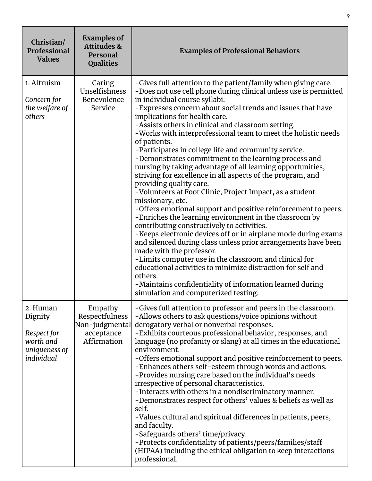| Christian/<br>Professional<br><b>Values</b>                                    | <b>Examples of</b><br><b>Attitudes &amp;</b><br>Personal<br><b>Qualities</b> | <b>Examples of Professional Behaviors</b>                                                                                                                                                                                                                                                                                                                                                                                                                                                                                                                                                                                                                                                                                                                                                                                                                                                                                                                                                                                                                                                                                                                                                                                                                                                                                                         |
|--------------------------------------------------------------------------------|------------------------------------------------------------------------------|---------------------------------------------------------------------------------------------------------------------------------------------------------------------------------------------------------------------------------------------------------------------------------------------------------------------------------------------------------------------------------------------------------------------------------------------------------------------------------------------------------------------------------------------------------------------------------------------------------------------------------------------------------------------------------------------------------------------------------------------------------------------------------------------------------------------------------------------------------------------------------------------------------------------------------------------------------------------------------------------------------------------------------------------------------------------------------------------------------------------------------------------------------------------------------------------------------------------------------------------------------------------------------------------------------------------------------------------------|
| 1. Altruism<br>Concern for<br>the welfare of<br>others                         | Caring<br>Unselfishness<br>Benevolence<br>Service                            | -Gives full attention to the patient/family when giving care.<br>-Does not use cell phone during clinical unless use is permitted<br>in individual course syllabi.<br>-Expresses concern about social trends and issues that have<br>implications for health care.<br>-Assists others in clinical and classroom setting.<br>-Works with interprofessional team to meet the holistic needs<br>of patients.<br>-Participates in college life and community service.<br>-Demonstrates commitment to the learning process and<br>nursing by taking advantage of all learning opportunities,<br>striving for excellence in all aspects of the program, and<br>providing quality care.<br>-Volunteers at Foot Clinic, Project Impact, as a student<br>missionary, etc.<br>-Offers emotional support and positive reinforcement to peers.<br>-Enriches the learning environment in the classroom by<br>contributing constructively to activities.<br>-Keeps electronic devices off or in airplane mode during exams<br>and silenced during class unless prior arrangements have been<br>made with the professor.<br>-Limits computer use in the classroom and clinical for<br>educational activities to minimize distraction for self and<br>others.<br>-Maintains confidentiality of information learned during<br>simulation and computerized testing. |
| 2. Human<br>Dignity<br>Respect for<br>worth and<br>uniqueness of<br>individual | Empathy<br>Respectfulness<br>Non-judgmental<br>acceptance<br>Affirmation     | -Gives full attention to professor and peers in the classroom.<br>-Allows others to ask questions/voice opinions without<br>derogatory verbal or nonverbal responses.<br>-Exhibits courteous professional behavior, responses, and<br>language (no profanity or slang) at all times in the educational<br>environment.<br>-Offers emotional support and positive reinforcement to peers.<br>-Enhances others self-esteem through words and actions.<br>-Provides nursing care based on the individual's needs<br>irrespective of personal characteristics.<br>-Interacts with others in a nondiscriminatory manner.<br>-Demonstrates respect for others' values & beliefs as well as<br>self.<br>-Values cultural and spiritual differences in patients, peers,<br>and faculty.<br>-Safeguards others' time/privacy.<br>-Protects confidentiality of patients/peers/families/staff<br>(HIPAA) including the ethical obligation to keep interactions<br>professional.                                                                                                                                                                                                                                                                                                                                                                              |

9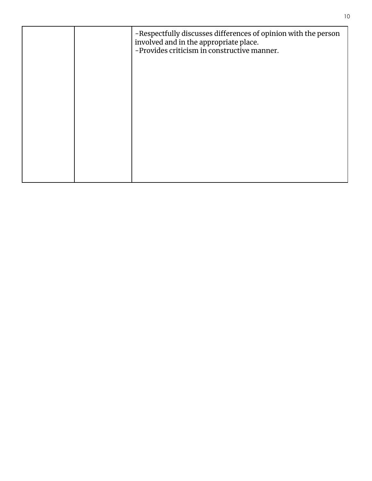|  | -Respectfully discusses differences of opinion with the person<br>involved and in the appropriate place.<br>-Provides criticism in constructive manner. |
|--|---------------------------------------------------------------------------------------------------------------------------------------------------------|
|  |                                                                                                                                                         |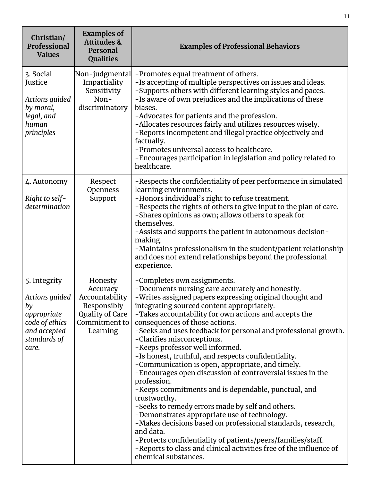| Christian/<br>Professional<br><b>Values</b>                                                                    | <b>Examples of</b><br><b>Attitudes &amp;</b><br>Personal<br><b>Qualities</b>                         | <b>Examples of Professional Behaviors</b>                                                                                                                                                                                                                                                                                                                                                                                                                                                                                                                                                                                                                                                                                                                                                                                                                                                                                                                                                                                          |
|----------------------------------------------------------------------------------------------------------------|------------------------------------------------------------------------------------------------------|------------------------------------------------------------------------------------------------------------------------------------------------------------------------------------------------------------------------------------------------------------------------------------------------------------------------------------------------------------------------------------------------------------------------------------------------------------------------------------------------------------------------------------------------------------------------------------------------------------------------------------------------------------------------------------------------------------------------------------------------------------------------------------------------------------------------------------------------------------------------------------------------------------------------------------------------------------------------------------------------------------------------------------|
| 3. Social<br>Justice<br>Actions guided<br>by moral,<br>legal, and<br>human<br>principles                       | Non-judgmental<br>Impartiality<br>Sensitivity<br>Non-<br>discriminatory                              | -Promotes equal treatment of others.<br>-Is accepting of multiple perspectives on issues and ideas.<br>-Supports others with different learning styles and paces.<br>-Is aware of own prejudices and the implications of these<br>biases.<br>-Advocates for patients and the profession.<br>-Allocates resources fairly and utilizes resources wisely.<br>-Reports incompetent and illegal practice objectively and<br>factually.<br>-Promotes universal access to healthcare.<br>-Encourages participation in legislation and policy related to<br>healthcare.                                                                                                                                                                                                                                                                                                                                                                                                                                                                    |
| 4. Autonomy<br>Right to self-<br>determination                                                                 | Respect<br>Openness<br>Support                                                                       | -Respects the confidentiality of peer performance in simulated<br>learning environments.<br>-Honors individual's right to refuse treatment.<br>-Respects the rights of others to give input to the plan of care.<br>-Shares opinions as own; allows others to speak for<br>themselves.<br>-Assists and supports the patient in autonomous decision-<br>making.<br>-Maintains professionalism in the student/patient relationship<br>and does not extend relationships beyond the professional<br>experience.                                                                                                                                                                                                                                                                                                                                                                                                                                                                                                                       |
| 5. Integrity<br>Actions guided<br>by<br>appropriate<br>code of ethics<br>and accepted<br>standards of<br>care. | Honesty<br>Accuracy<br>Accountability<br>Responsibly<br>Quality of Care<br>Commitment to<br>Learning | -Completes own assignments.<br>-Documents nursing care accurately and honestly.<br>-Writes assigned papers expressing original thought and<br>integrating sourced content appropriately.<br>-Takes accountability for own actions and accepts the<br>consequences of those actions.<br>-Seeks and uses feedback for personal and professional growth.<br>-Clarifies misconceptions.<br>-Keeps professor well informed.<br>-Is honest, truthful, and respects confidentiality.<br>-Communication is open, appropriate, and timely.<br>-Encourages open discussion of controversial issues in the<br>profession.<br>-Keeps commitments and is dependable, punctual, and<br>trustworthy.<br>-Seeks to remedy errors made by self and others.<br>-Demonstrates appropriate use of technology.<br>-Makes decisions based on professional standards, research,<br>and data.<br>-Protects confidentiality of patients/peers/families/staff.<br>-Reports to class and clinical activities free of the influence of<br>chemical substances. |

11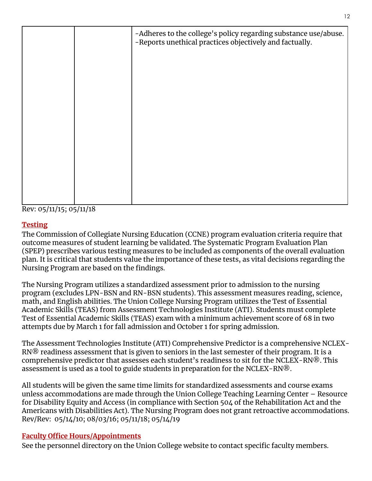|  | -Adheres to the college's policy regarding substance use/abuse.<br>-Reports unethical practices objectively and factually. |
|--|----------------------------------------------------------------------------------------------------------------------------|
|  |                                                                                                                            |
|  |                                                                                                                            |
|  |                                                                                                                            |
|  |                                                                                                                            |
|  |                                                                                                                            |
|  |                                                                                                                            |

Rev: 05/11/15; 05/11/18

# <span id="page-11-0"></span>**Testing**

The Commission of Collegiate Nursing Education (CCNE) program evaluation criteria require that outcome measures of student learning be validated. The Systematic Program Evaluation Plan (SPEP) prescribes various testing measures to be included as components of the overall evaluation plan. It is critical that students value the importance of these tests, as vital decisions regarding the Nursing Program are based on the findings.

The Nursing Program utilizes a standardized assessment prior to admission to the nursing program (excludes LPN-BSN and RN-BSN students). This assessment measures reading, science, math, and English abilities. The Union College Nursing Program utilizes the Test of Essential Academic Skills (TEAS) from Assessment Technologies Institute (ATI). Students must complete Test of Essential Academic Skills (TEAS) exam with a minimum achievement score of 68 in two attempts due by March 1 for fall admission and October 1 for spring admission.

The Assessment Technologies Institute (ATI) Comprehensive Predictor is a comprehensive NCLEX-RN® readiness assessment that is given to seniors in the last semester of their program. It is a comprehensive predictor that assesses each student's readiness to sit for the NCLEX-RN®. This assessment is used as a tool to guide students in preparation for the NCLEX-RN $\circledR$ .

All students will be given the same time limits for standardized assessments and course exams unless accommodations are made through the Union College Teaching Learning Center – Resource for Disability Equity and Access (in compliance with Section 504 of the Rehabilitation Act and the Americans with Disabilities Act). The Nursing Program does not grant retroactive accommodations. Rev/Rev: 05/14/10; 08/03/16; 05/11/18; 05/14/19

#### <span id="page-11-1"></span>**Faculty Office Hours/Appointments**

See the personnel directory on the Union College website to contact specific faculty members.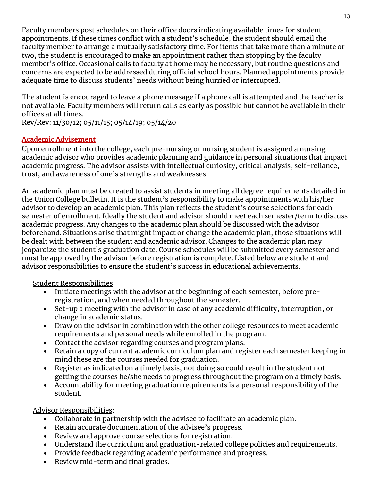Faculty members post schedules on their office doors indicating available times for student appointments. If these times conflict with a student's schedule, the student should email the faculty member to arrange a mutually satisfactory time. For items that take more than a minute or two, the student is encouraged to make an appointment rather than stopping by the faculty member's office. Occasional calls to faculty at home may be necessary, but routine questions and concerns are expected to be addressed during official school hours. Planned appointments provide adequate time to discuss students' needs without being hurried or interrupted.

The student is encouraged to leave a phone message if a phone call is attempted and the teacher is not available. Faculty members will return calls as early as possible but cannot be available in their offices at all times.

Rev/Rev: 11/30/12; 05/11/15; 05/14/19; 05/14/20

# <span id="page-12-0"></span>**Academic Advisement**

Upon enrollment into the college, each pre-nursing or nursing student is assigned a nursing academic advisor who provides academic planning and guidance in personal situations that impact academic progress. The advisor assists with intellectual curiosity, critical analysis, self-reliance, trust, and awareness of one's strengths and weaknesses.

An academic plan must be created to assist students in meeting all degree requirements detailed in the Union College bulletin. It is the student's responsibility to make appointments with his/her advisor to develop an academic plan. This plan reflects the student's course selections for each semester of enrollment. Ideally the student and advisor should meet each semester/term to discuss academic progress. Any changes to the academic plan should be discussed with the advisor beforehand. Situations arise that might impact or change the academic plan; those situations will be dealt with between the student and academic advisor. Changes to the academic plan may jeopardize the student's graduation date. Course schedules will be submitted every semester and must be approved by the advisor before registration is complete. Listed below are student and advisor responsibilities to ensure the student's success in educational achievements.

Student Responsibilities:

- Initiate meetings with the advisor at the beginning of each semester, before preregistration, and when needed throughout the semester.
- Set-up a meeting with the advisor in case of any academic difficulty, interruption, or change in academic status.
- Draw on the advisor in combination with the other college resources to meet academic requirements and personal needs while enrolled in the program.
- Contact the advisor regarding courses and program plans.
- Retain a copy of current academic curriculum plan and register each semester keeping in mind these are the courses needed for graduation.
- Register as indicated on a timely basis, not doing so could result in the student not getting the courses he/she needs to progress throughout the program on a timely basis.
- Accountability for meeting graduation requirements is a personal responsibility of the student.

Advisor Responsibilities:

- Collaborate in partnership with the advisee to facilitate an academic plan.
- Retain accurate documentation of the advisee's progress.
- Review and approve course selections for registration.
- Understand the curriculum and graduation-related college policies and requirements.
- Provide feedback regarding academic performance and progress.
- Review mid-term and final grades.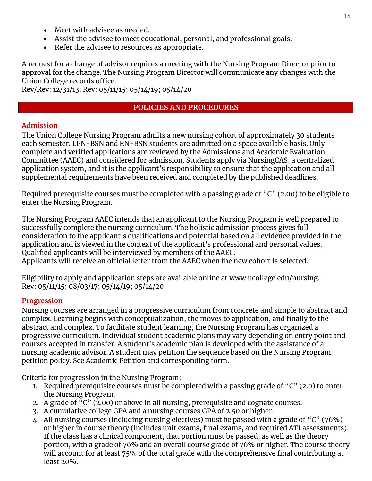- Meet with advisee as needed.
- Assist the advisee to meet educational, personal, and professional goals.
- Refer the advisee to resources as appropriate.

A request for a change of advisor requires a meeting with the Nursing Program Director prior to approval for the change. The Nursing Program Director will communicate any changes with the Union College records office.

<span id="page-13-0"></span>Rev/Rev: 12/31/13; Rev: 05/11/15; 05/14/19; 05/14/20

#### **POLICIES AND PROCEDURES**

#### <span id="page-13-1"></span>**Admission**

The Union College Nursing Program admits a new nursing cohort of approximately 30 students each semester. LPN-BSN and RN-BSN students are admitted on a space available basis. Only complete and verified applications are reviewed by the Admissions and Academic Evaluation Committee (AAEC) and considered for admission. Students apply via NursingCAS, a centralized application system, and it is the applicant's responsibility to ensure that the application and all supplemental requirements have been received and completed by the published deadlines.

Required prerequisite courses must be completed with a passing grade of "C" (2.00) to be eligible to enter the Nursing Program.

The Nursing Program AAEC intends that an applicant to the Nursing Program is well prepared to successfully complete the nursing curriculum. The holistic admission process gives full consideration to the applicant's qualifications and potential based on all evidence provided in the application and is viewed in the context of the applicant's professional and personal values. Qualified applicants will be interviewed by members of the AAEC. Applicants will receive an official letter from the AAEC when the new cohort is selected.

Eligibility to apply and application steps are available online at [www.ucollege.edu/nursing.](http://www.ucollege.edu/nursing) Rev: 05/11/15; 08/03/17; 05/14/19; 05/14/20

#### <span id="page-13-2"></span>**Progression**

Nursing courses are arranged in a progressive curriculum from concrete and simple to abstract and complex. Learning begins with conceptualization, the moves to application, and finally to the abstract and complex. To facilitate student learning, the Nursing Program has organized a progressive curriculum. Individual student academic plans may vary depending on entry point and courses accepted in transfer. A student's academic plan is developed with the assistance of a nursing academic advisor. A student may petition the sequence based on the Nursing Program petition policy. See Academic Petition and corresponding form.

Criteria for progression in the Nursing Program:

- 1. Required prerequisite courses must be completed with a passing grade of  $(C<sup>n</sup>(2.0)$  to enter the Nursing Program.
- 2. A grade of "C" (2.00) or above in all nursing, prerequisite and cognate courses.
- 3. A cumulative college GPA and a nursing courses GPA of 2.50 or higher.
- 4. All nursing courses (including nursing electives) must be passed with a grade of "C" (76%) or higher in course theory (includes unit exams, final exams, and required ATI assessments). If the class has a clinical component, that portion must be passed, as well as the theory portion, with a grade of 76% and an overall course grade of 76% or higher. The course theory will account for at least 75% of the total grade with the comprehensive final contributing at least 20%.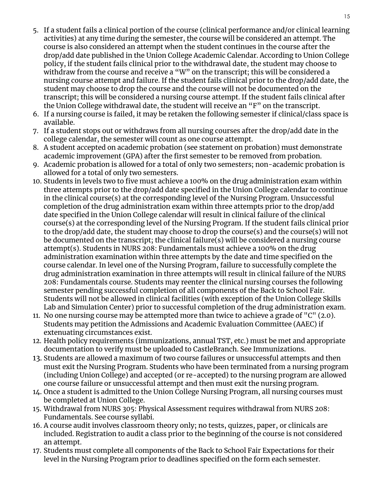- 5. If a student fails a clinical portion of the course (clinical performance and/or clinical learning activities) at any time during the semester, the course will be considered an attempt. The course is also considered an attempt when the student continues in the course after the drop/add date published in the Union College Academic Calendar. According to Union College policy, if the student fails clinical prior to the withdrawal date, the student may choose to withdraw from the course and receive a "W" on the transcript; this will be considered a nursing course attempt and failure. If the student fails clinical prior to the drop/add date, the student may choose to drop the course and the course will not be documented on the transcript; this will be considered a nursing course attempt. If the student fails clinical after the Union College withdrawal date, the student will receive an "F" on the transcript.
- 6. If a nursing course is failed, it may be retaken the following semester if clinical/class space is available.
- 7. If a student stops out or withdraws from all nursing courses after the drop/add date in the college calendar, the semester will count as one course attempt.
- 8. A student accepted on academic probation (see statement on probation) must demonstrate academic improvement (GPA) after the first semester to be removed from probation.
- 9. Academic probation is allowed for a total of only two semesters; non-academic probation is allowed for a total of only two semesters.
- 10. Students in levels two to five must achieve a 100% on the drug administration exam within three attempts prior to the drop/add date specified in the Union College calendar to continue in the clinical course(s) at the corresponding level of the Nursing Program. Unsuccessful completion of the drug administration exam within three attempts prior to the drop/add date specified in the Union College calendar will result in clinical failure of the clinical course(s) at the corresponding level of the Nursing Program. If the student fails clinical prior to the drop/add date, the student may choose to drop the course(s) and the course(s) will not be documented on the transcript; the clinical failure(s) will be considered a nursing course attempt(s). Students in NURS 208: Fundamentals must achieve a 100% on the drug administration examination within three attempts by the date and time specified on the course calendar. In level one of the Nursing Program, failure to successfully complete the drug administration examination in three attempts will result in clinical failure of the NURS 208: Fundamentals course. Students may reenter the clinical nursing courses the following semester pending successful completion of all components of the Back to School Fair. Students will not be allowed in clinical facilities (with exception of the Union College Skills Lab and Simulation Center) prior to successful completion of the drug administration exam.
- 11. No one nursing course may be attempted more than twice to achieve a grade of  $C^{\prime\prime}$  (2.0). Students may petition the Admissions and Academic Evaluation Committee (AAEC) if extenuating circumstances exist.
- 12. Health policy requirements (immunizations, annual TST, etc.) must be met and appropriate documentation to verify must be uploaded to CastleBranch. See Immunizations.
- 13. Students are allowed a maximum of two course failures or unsuccessful attempts and then must exit the Nursing Program. Students who have been terminated from a nursing program (including Union College) and accepted (or re-accepted) to the nursing program are allowed one course failure or unsuccessful attempt and then must exit the nursing program.
- 14. Once a student is admitted to the Union College Nursing Program, all nursing courses must be completed at Union College.
- 15. Withdrawal from NURS 305: Physical Assessment requires withdrawal from NURS 208: Fundamentals. See course syllabi.
- 16. A course audit involves classroom theory only; no tests, quizzes, paper, or clinicals are included. Registration to audit a class prior to the beginning of the course is not considered an attempt.
- 17. Students must complete all components of the Back to School Fair Expectations for their level in the Nursing Program prior to deadlines specified on the form each semester.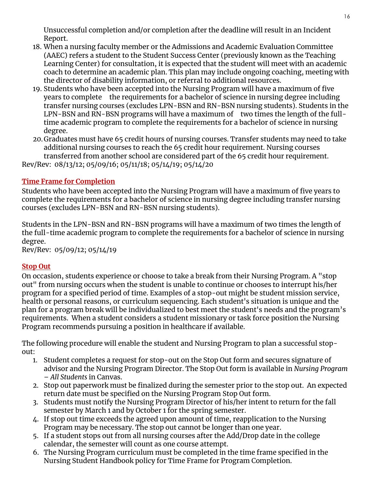Unsuccessful completion and/or completion after the deadline will result in an Incident Report.

- 18. When a nursing faculty member or the Admissions and Academic Evaluation Committee (AAEC) refers a student to the Student Success Center (previously known as the Teaching Learning Center) for consultation, it is expected that the student will meet with an academic coach to determine an academic plan. This plan may include ongoing coaching, meeting with the director of disability information, or referral to additional resources.
- 19. Students who have been accepted into the Nursing Program will have a maximum of five years to complete the requirements for a bachelor of science in nursing degree including transfer nursing courses (excludes LPN-BSN and RN-BSN nursing students). Students in the LPN-BSN and RN-BSN programs will have a maximum of two times the length of the fulltime academic program to complete the requirements for a bachelor of science in nursing degree.
- 20.Graduates must have 65 credit hours of nursing courses. Transfer students may need to take additional nursing courses to reach the 65 credit hour requirement. Nursing courses transferred from another school are considered part of the 65 credit hour requirement. Rev/Rev: 08/13/12; 05/09/16; 05/11/18; 05/14/19; 05/14/20

#### <span id="page-15-0"></span>**Time Frame for Completion**

Students who have been accepted into the Nursing Program will have a maximum of five years to complete the requirements for a bachelor of science in nursing degree including transfer nursing courses (excludes LPN-BSN and RN-BSN nursing students).

Students in the LPN-BSN and RN-BSN programs will have a maximum of two times the length of the full-time academic program to complete the requirements for a bachelor of science in nursing degree.

Rev/Rev: 05/09/12; 05/14/19

#### <span id="page-15-1"></span>**Stop Out**

On occasion, students experience or choose to take a break from their Nursing Program. A "stop out" from nursing occurs when the student is unable to continue or chooses to interrupt his/her program for a specified period of time. Examples of a stop-out might be student mission service, health or personal reasons, or curriculum sequencing. Each student's situation is unique and the plan for a program break will be individualized to best meet the student's needs and the program's requirements. When a student considers a student missionary or task force position the Nursing Program recommends pursuing a position in healthcare if available.

The following procedure will enable the student and Nursing Program to plan a successful stopout:

- 1. Student completes a request for stop-out on the Stop Out form and secures signature of advisor and the Nursing Program Director. The Stop Out form is available in *Nursing Program – All Students* in Canvas.
- 2. Stop out paperwork must be finalized during the semester prior to the stop out. An expected return date must be specified on the Nursing Program Stop Out form.
- 3. Students must notify the Nursing Program Director of his/her intent to return for the fall semester by March 1 and by October 1 for the spring semester.
- 4. If stop out time exceeds the agreed upon amount of time, reapplication to the Nursing Program may be necessary. The stop out cannot be longer than one year.
- 5. If a student stops out from all nursing courses after the Add/Drop date in the college calendar, the semester will count as one course attempt.
- 6. The Nursing Program curriculum must be completed in the time frame specified in the Nursing Student Handbook policy for Time Frame for Program Completion.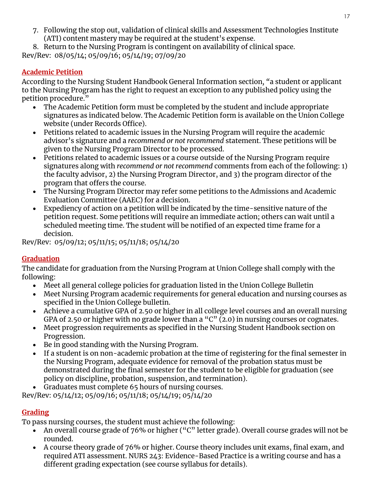7. Following the stop out, validation of clinical skills and Assessment Technologies Institute (ATI) content mastery may be required at the student's expense.

8. Return to the Nursing Program is contingent on availability of clinical space. Rev/Rev: 08/05/14; 05/09/16; 05/14/19; 07/09/20

## <span id="page-16-0"></span>**Academic Petition**

According to the Nursing Student Handbook General Information section*, "*a student or applicant to the Nursing Program has the right to request an exception to any published policy using the petition procedure."

- The Academic Petition form must be completed by the student and include appropriate signatures as indicated below. The Academic Petition form is available on the Union College website (under Records Office).
- Petitions related to academic issues in the Nursing Program will require the academic advisor's signature and a *recommend or not recommend* statement. These petitions will be given to the Nursing Program Director to be processed.
- Petitions related to academic issues or a course outside of the Nursing Program require signatures along with *recommend or not recommend* comments from each of the following: 1) the faculty advisor, 2) the Nursing Program Director, and 3) the program director of the program that offers the course.
- The Nursing Program Director may refer some petitions to the Admissions and Academic Evaluation Committee (AAEC) for a decision.
- Expediency of action on a petition will be indicated by the time-sensitive nature of the petition request. Some petitions will require an immediate action; others can wait until a scheduled meeting time. The student will be notified of an expected time frame for a decision.

Rev/Rev: 05/09/12; 05/11/15; 05/11/18; 05/14/20

# <span id="page-16-1"></span>**Graduation**

The candidate for graduation from the Nursing Program at Union College shall comply with the following:

- Meet all general college policies for graduation listed in the Union College Bulletin
- Meet Nursing Program academic requirements for general education and nursing courses as specified in the Union College bulletin.
- Achieve a cumulative GPA of 2.50 or higher in all college level courses and an overall nursing GPA of 2.50 or higher with no grade lower than a "C"  $(2.0)$  in nursing courses or cognates.
- Meet progression requirements as specified in the Nursing Student Handbook section on Progression.
- Be in good standing with the Nursing Program.
- If a student is on non-academic probation at the time of registering for the final semester in the Nursing Program, adequate evidence for removal of the probation status must be demonstrated during the final semester for the student to be eligible for graduation (see policy on discipline, probation, suspension, and termination).
- Graduates must complete 65 hours of nursing courses.

Rev/Rev: 05/14/12; 05/09/16; 05/11/18; 05/14/19; 05/14/20

# <span id="page-16-2"></span>**Grading**

To pass nursing courses, the student must achieve the following:

- An overall course grade of 76% or higher ("C" letter grade). Overall course grades will not be rounded.
- A course theory grade of 76% or higher. Course theory includes unit exams, final exam, and required ATI assessment. NURS 243: Evidence-Based Practice is a writing course and has a different grading expectation (see course syllabus for details).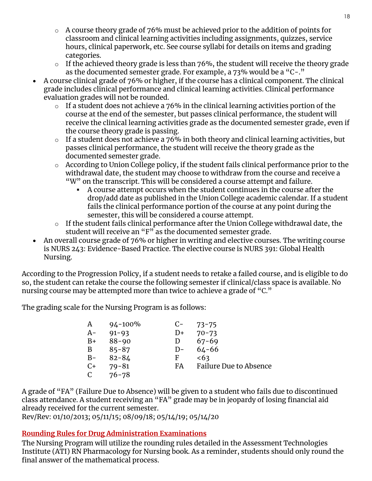- o A course theory grade of 76% must be achieved prior to the addition of points for classroom and clinical learning activities including assignments, quizzes, service hours, clinical paperwork, etc. See course syllabi for details on items and grading categories.
- $\circ$  If the achieved theory grade is less than 76%, the student will receive the theory grade as the documented semester grade. For example, a 73% would be a "C-."
- A course clinical grade of 76% or higher, if the course has a clinical component. The clinical grade includes clinical performance and clinical learning activities. Clinical performance evaluation grades will not be rounded.
	- $\circ$  If a student does not achieve a 76% in the clinical learning activities portion of the course at the end of the semester, but passes clinical performance, the student will receive the clinical learning activities grade as the documented semester grade, even if the course theory grade is passing.
	- o If a student does not achieve a 76% in both theory and clinical learning activities, but passes clinical performance, the student will receive the theory grade as the documented semester grade.
	- o According to Union College policy, if the student fails clinical performance prior to the withdrawal date, the student may choose to withdraw from the course and receive a "W" on the transcript. This will be considered a course attempt and failure.
		- A course attempt occurs when the student continues in the course after the drop/add date as published in the Union College academic calendar. If a student fails the clinical performance portion of the course at any point during the semester, this will be considered a course attempt.
	- o If the student fails clinical performance after the Union College withdrawal date, the student will receive an "F" as the documented semester grade.
- An overall course grade of 76% or higher in writing and elective courses. The writing course is NURS 243: Evidence-Based Practice. The elective course is NURS 391: Global Health Nursing.

According to the Progression Policy, if a student needs to retake a failed course, and is eligible to do so, the student can retake the course the following semester if clinical/class space is available. No nursing course may be attempted more than twice to achieve a grade of "C."

The grading scale for the Nursing Program is as follows:

| A     | $94 - 100\%$ | $C-$         | $73 - 75$                     |
|-------|--------------|--------------|-------------------------------|
| $A-$  | $91 - 93$    | D+           | $70 - 73$                     |
| $B+$  | $88 - 90$    | $\mathbf{D}$ | $67 - 69$                     |
| B     | $85 - 87$    | $D-$         | $64 - 66$                     |
| $B -$ | $82 - 84$    | F            | <63                           |
| $C+$  | $79 - 81$    | FA           | <b>Failure Due to Absence</b> |
| C     | $76 - 78$    |              |                               |

A grade of "FA" (Failure Due to Absence) will be given to a student who fails due to discontinued class attendance. A student receiving an "FA" grade may be in jeopardy of losing financial aid already received for the current semester.

Rev/Rev: 01/10/2013; 05/11/15; 08/09/18; 05/14/19; 05/14/20

# <span id="page-17-0"></span>**Rounding Rules for Drug Administration Examinations**

The Nursing Program will utilize the rounding rules detailed in the Assessment Technologies Institute (ATI) RN Pharmacology for Nursing book. As a reminder, students should only round the final answer of the mathematical process.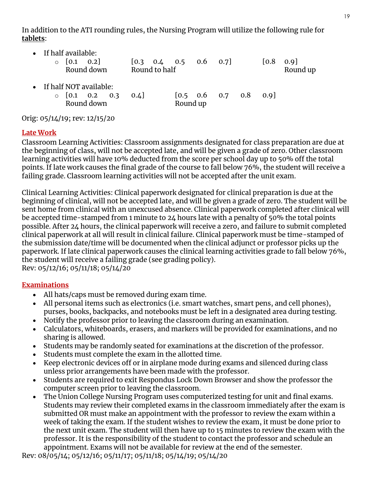In addition to the ATI rounding rules, the Nursing Program will utilize the following rule for **tablets**:

| If half available:<br>$\begin{bmatrix} 0.1 & 0.2 \end{bmatrix}$<br>$\circ$<br>Round down | Round to half | $[0.3 \t 0.4 \t 0.5 \t 0.6 \t 0.7]$             |  | [0.8] | $0.9$ ]<br>Round up |
|------------------------------------------------------------------------------------------|---------------|-------------------------------------------------|--|-------|---------------------|
| • If half NOT available:<br>$\circ$ [0.1 0.2 0.3<br>Round down                           | 0.4           | $[0.5 \t 0.6 \t 0.7 \t 0.8 \t 0.9]$<br>Round up |  |       |                     |

Orig: 05/14/19; rev: 12/15/20

#### <span id="page-18-0"></span>**Late Work**

Classroom Learning Activities: Classroom assignments designated for class preparation are due at the beginning of class, will not be accepted late, and will be given a grade of zero. Other classroom learning activities will have 10% deducted from the score per school day up to 50% off the total points. If late work causes the final grade of the course to fall below 76%, the student will receive a failing grade. Classroom learning activities will not be accepted after the unit exam.

Clinical Learning Activities: Clinical paperwork designated for clinical preparation is due at the beginning of clinical, will not be accepted late, and will be given a grade of zero. The student will be sent home from clinical with an unexcused absence. Clinical paperwork completed after clinical will be accepted time-stamped from 1 minute to 24 hours late with a penalty of 50% the total points possible. After 24 hours, the clinical paperwork will receive a zero, and failure to submit completed clinical paperwork at all will result in clinical failure. Clinical paperwork must be time-stamped of the submission date/time will be documented when the clinical adjunct or professor picks up the paperwork. If late clinical paperwork causes the clinical learning activities grade to fall below 76%, the student will receive a failing grade (see grading policy). Rev: 05/12/16; 05/11/18; 05/14/20

#### <span id="page-18-1"></span>**Examinations**

- All hats/caps must be removed during exam time.
- All personal items such as electronics (i.e. smart watches, smart pens, and cell phones), purses, books, backpacks, and notebooks must be left in a designated area during testing.
- Notify the professor prior to leaving the classroom during an examination.
- Calculators, whiteboards, erasers, and markers will be provided for examinations, and no sharing is allowed.
- Students may be randomly seated for examinations at the discretion of the professor.
- Students must complete the exam in the allotted time.
- Keep electronic devices off or in airplane mode during exams and silenced during class unless prior arrangements have been made with the professor.
- Students are required to exit Respondus Lock Down Browser and show the professor the computer screen prior to leaving the classroom.
- The Union College Nursing Program uses computerized testing for unit and final exams. Students may review their completed exams in the classroom immediately after the exam is submitted OR must make an appointment with the professor to review the exam within a week of taking the exam. If the student wishes to review the exam, it must be done prior to the next unit exam. The student will then have up to 15 minutes to review the exam with the professor. It is the responsibility of the student to contact the professor and schedule an appointment. Exams will not be available for review at the end of the semester.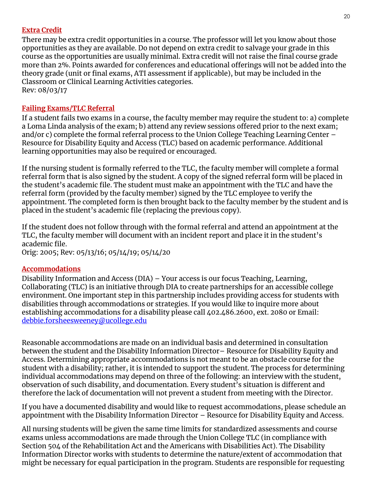#### <span id="page-19-0"></span>**Extra Credit**

There may be extra credit opportunities in a course. The professor will let you know about those opportunities as they are available. Do not depend on extra credit to salvage your grade in this course as the opportunities are usually minimal. Extra credit will not raise the final course grade more than 2%. Points awarded for conferences and educational offerings will not be added into the theory grade (unit or final exams, ATI assessment if applicable), but may be included in the Classroom or Clinical Learning Activities categories. Rev: 08/03/17

#### <span id="page-19-1"></span>**Failing Exams/TLC Referral**

If a student fails two exams in a course, the faculty member may require the student to: a) complete a Loma Linda analysis of the exam; b) attend any review sessions offered prior to the next exam; and/or c) complete the formal referral process to the Union College Teaching Learning Center – Resource for Disability Equity and Access (TLC) based on academic performance. Additional learning opportunities may also be required or encouraged.

If the nursing student is formally referred to the TLC, the faculty member will complete a formal referral form that is also signed by the student. A copy of the signed referral form will be placed in the student's academic file. The student must make an appointment with the TLC and have the referral form (provided by the faculty member) signed by the TLC employee to verify the appointment. The completed form is then brought back to the faculty member by the student and is placed in the student's academic file (replacing the previous copy).

If the student does not follow through with the formal referral and attend an appointment at the TLC, the faculty member will document with an incident report and place it in the student's academic file.

Orig: 2005; Rev: 05/13/16; 05/14/19; 05/14/20

#### <span id="page-19-2"></span>**Accommodations**

Disability Information and Access (DIA) – Your access is our focus Teaching, Learning, Collaborating (TLC) is an initiative through DIA to create partnerships for an accessible college environment. One important step in this partnership includes providing access for students with disabilities through accommodations or strategies. If you would like to inquire more about establishing accommodations for a disability please call 402.486.2600, ext. 2080 or Email: [debbie.forsheesweeney@ucollege.edu](mailto:debbie.forsheesweeney@ucollege.edu)

Reasonable accommodations are made on an individual basis and determined in consultation between the student and the Disability Information Director– Resource for Disability Equity and Access. Determining appropriate accommodations is not meant to be an obstacle course for the student with a disability; rather, it is intended to support the student. The process for determining individual accommodations may depend on three of the following: an interview with the student, observation of such disability, and documentation. Every student's situation is different and therefore the lack of documentation will not prevent a student from meeting with the Director.

If you have a documented disability and would like to request accommodations, please schedule an appointment with the Disability Information Director – Resource for Disability Equity and Access.

All nursing students will be given the same time limits for standardized assessments and course exams unless accommodations are made through the Union College TLC (in compliance with Section 504 of the Rehabilitation Act and the Americans with Disabilities Act). The Disability Information Director works with students to determine the nature/extent of accommodation that might be necessary for equal participation in the program. Students are responsible for requesting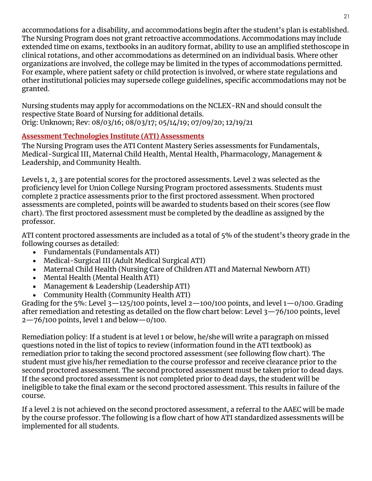accommodations for a disability, and accommodations begin after the student's plan is established. The Nursing Program does not grant retroactive accommodations. Accommodations may include extended time on exams, textbooks in an auditory format, ability to use an amplified stethoscope in clinical rotations, and other accommodations as determined on an individual basis. Where other organizations are involved, the college may be limited in the types of accommodations permitted. For example, where patient safety or child protection is involved, or where state regulations and other institutional policies may supersede college guidelines, specific accommodations may not be granted.

Nursing students may apply for accommodations on the NCLEX-RN and should consult the respective State Board of Nursing for additional details. Orig: Unknown; Rev: 08/03/16; 08/03/17; 05/14/19; 07/09/20; 12/19/21

#### <span id="page-20-0"></span>**Assessment Technologies Institute (ATI) Assessments**

The Nursing Program uses the ATI Content Mastery Series assessments for Fundamentals, Medical-Surgical III, Maternal Child Health, Mental Health, Pharmacology, Management & Leadership, and Community Health.

Levels 1, 2, 3 are potential scores for the proctored assessments. Level 2 was selected as the proficiency level for Union College Nursing Program proctored assessments. Students must complete 2 practice assessments prior to the first proctored assessment. When proctored assessments are completed, points will be awarded to students based on their scores (see flow chart). The first proctored assessment must be completed by the deadline as assigned by the professor.

ATI content proctored assessments are included as a total of 5% of the student's theory grade in the following courses as detailed:

- Fundamentals (Fundamentals ATI)
- Medical-Surgical III (Adult Medical Surgical ATI)
- Maternal Child Health (Nursing Care of Children ATI and Maternal Newborn ATI)
- Mental Health (Mental Health ATI)
- Management & Leadership (Leadership ATI)
- Community Health (Community Health ATI)

Grading for the 5%: Level  $3-125/100$  points, level  $2-100/100$  points, and level  $1-0/100$ . Grading after remediation and retesting as detailed on the flow chart below: Level 3—76/100 points, level  $2 - 76/100$  points, level 1 and below  $- 0/100$ .

Remediation policy: If a student is at level 1 or below, he/she will write a paragraph on missed questions noted in the list of topics to review (information found in the ATI textbook) as remediation prior to taking the second proctored assessment (see following flow chart). The student must give his/her remediation to the course professor and receive clearance prior to the second proctored assessment. The second proctored assessment must be taken prior to dead days. If the second proctored assessment is not completed prior to dead days, the student will be ineligible to take the final exam or the second proctored assessment. This results in failure of the course.

If a level 2 is not achieved on the second proctored assessment, a referral to the AAEC will be made by the course professor. The following is a flow chart of how ATI standardized assessments will be implemented for all students.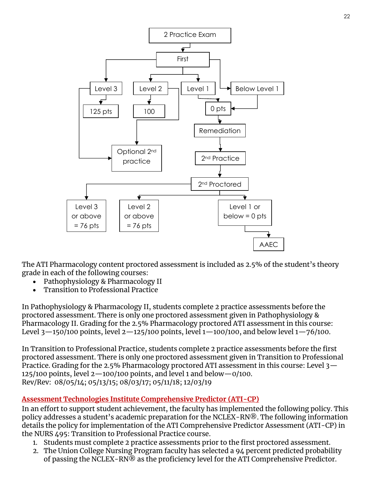

The ATI Pharmacology content proctored assessment is included as 2.5% of the student's theory grade in each of the following courses:

- Pathophysiology & Pharmacology II
- Transition to Professional Practice

In Pathophysiology & Pharmacology II, students complete 2 practice assessments before the proctored assessment. There is only one proctored assessment given in Pathophysiology & Pharmacology II. Grading for the 2.5% Pharmacology proctored ATI assessment in this course: Level 3-150/100 points, level 2-125/100 points, level 1-100/100, and below level 1-76/100.

In Transition to Professional Practice, students complete 2 practice assessments before the first proctored assessment. There is only one proctored assessment given in Transition to Professional Practice. Grading for the 2.5% Pharmacology proctored ATI assessment in this course: Level 3— 125/100 points, level  $2-100/100$  points, and level 1 and below  $-0/100$ . Rev/Rev: 08/05/14; 05/13/15; 08/03/17; 05/11/18; 12/03/19

#### <span id="page-21-0"></span>**Assessment Technologies Institute Comprehensive Predictor (ATI-CP)**

In an effort to support student achievement, the faculty has implemented the following policy. This policy addresses a student's academic preparation for the NCLEX-RN®. The following information details the policy for implementation of the ATI Comprehensive Predictor Assessment (ATI-CP) in the NURS 495: Transition to Professional Practice course.

- 1. Students must complete 2 practice assessments prior to the first proctored assessment.
- 2. The Union College Nursing Program faculty has selected a 94 percent predicted probability of passing the NCLEX-RN® as the proficiency level for the ATI Comprehensive Predictor.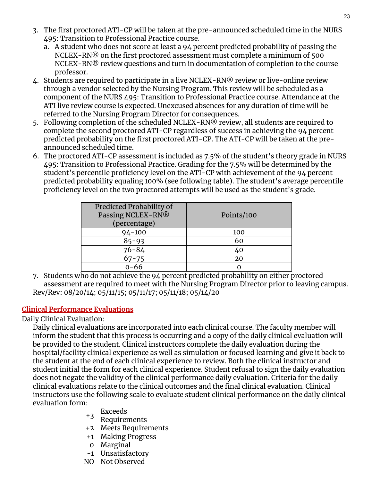- a. A student who does not score at least a 94 percent predicted probability of passing the NCLEX-RN® on the first proctored assessment must complete a minimum of 500 NCLEX-RN<sup>®</sup> review questions and turn in documentation of completion to the course professor.
- 4. Students are required to participate in a live NCLEX-RN® review or live-online review through a vendor selected by the Nursing Program. This review will be scheduled as a component of the NURS 495: Transition to Professional Practice course. Attendance at the ATI live review course is expected. Unexcused absences for any duration of time will be referred to the Nursing Program Director for consequences.
- 5. Following completion of the scheduled NCLEX-RN® review, all students are required to complete the second proctored ATI-CP regardless of success in achieving the 94 percent predicted probability on the first proctored ATI-CP. The ATI-CP will be taken at the preannounced scheduled time.
- 6. The proctored ATI-CP assessment is included as 7.5% of the student's theory grade in NURS 495: Transition to Professional Practice. Grading for the 7.5% will be determined by the student's percentile proficiency level on the ATI-CP with achievement of the 94 percent predicted probability equaling 100% (see following table). The student's average percentile proficiency level on the two proctored attempts will be used as the student's grade.

| Predicted Probability of<br>Passing NCLEX-RN®<br>(percentage) | Points/100 |
|---------------------------------------------------------------|------------|
| $94 - 100$                                                    | 100        |
| $85 - 93$                                                     | 60         |
| $76 - 84$                                                     | 40         |
| $67 - 75$                                                     | 20         |
| ი-66                                                          |            |

7. Students who do not achieve the 94 percent predicted probability on either proctored assessment are required to meet with the Nursing Program Director prior to leaving campus. Rev/Rev: 08/20/14; 05/11/15; 05/11/17; 05/11/18; 05/14/20

# <span id="page-22-0"></span>**Clinical Performance Evaluations**

# Daily Clinical Evaluation:

Daily clinical evaluations are incorporated into each clinical course. The faculty member will inform the student that this process is occurring and a copy of the daily clinical evaluation will be provided to the student. Clinical instructors complete the daily evaluation during the hospital/facility clinical experience as well as simulation or focused learning and give it back to the student at the end of each clinical experience to review. Both the clinical instructor and student initial the form for each clinical experience. Student refusal to sign the daily evaluation does not negate the validity of the clinical performance daily evaluation. Criteria for the daily clinical evaluations relate to the clinical outcomes and the final clinical evaluation. Clinical instructors use the following scale to evaluate student clinical performance on the daily clinical evaluation form:

- 
- +3 Exceeds Requirements
- +2 Meets Requirements
- +1 Making Progress
- 0 Marginal
- -1 Unsatisfactory
- NO Not Observed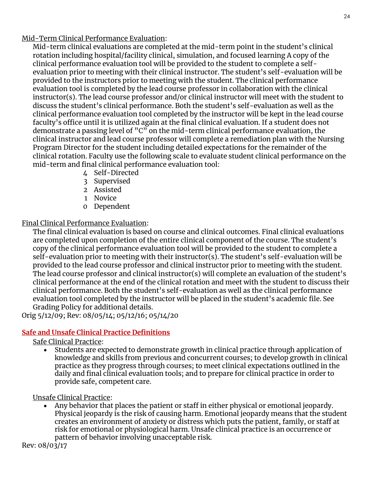#### Mid-Term Clinical Performance Evaluation:

Mid-term clinical evaluations are completed at the mid-term point in the student's clinical rotation including hospital/facility clinical, simulation, and focused learning A copy of the clinical performance evaluation tool will be provided to the student to complete a selfevaluation prior to meeting with their clinical instructor. The student's self-evaluation will be provided to the instructors prior to meeting with the student. The clinical performance evaluation tool is completed by the lead course professor in collaboration with the clinical instructor(s). The lead course professor and/or clinical instructor will meet with the student to discuss the student's clinical performance. Both the student's self-evaluation as well as the clinical performance evaluation tool completed by the instructor will be kept in the lead course faculty's office until it is utilized again at the final clinical evaluation. If a student does not demonstrate a passing level of " $C$ " on the mid-term clinical performance evaluation, the clinical instructor and lead course professor will complete a remediation plan with the Nursing Program Director for the student including detailed expectations for the remainder of the clinical rotation. Faculty use the following scale to evaluate student clinical performance on the mid-term and final clinical performance evaluation tool:

- 4 Self-Directed
- 3 Supervised
- 2 Assisted
- 1 Novice
- 0 Dependent

#### Final Clinical Performance Evaluation:

The final clinical evaluation is based on course and clinical outcomes. Final clinical evaluations are completed upon completion of the entire clinical component of the course. The student's copy of the clinical performance evaluation tool will be provided to the student to complete a self-evaluation prior to meeting with their instructor(s). The student's self-evaluation will be provided to the lead course professor and clinical instructor prior to meeting with the student. The lead course professor and clinical instructor(s) will complete an evaluation of the student's clinical performance at the end of the clinical rotation and meet with the student to discuss their clinical performance. Both the student's self-evaluation as well as the clinical performance evaluation tool completed by the instructor will be placed in the student's academic file. See Grading Policy for additional details.

Orig 5/12/09; Rev: 08/05/14; 05/12/16; 05/14/20

#### <span id="page-23-0"></span>**Safe and Unsafe Clinical Practice Definitions**

#### Safe Clinical Practice:

• Students are expected to demonstrate growth in clinical practice through application of knowledge and skills from previous and concurrent courses; to develop growth in clinical practice as they progress through courses; to meet clinical expectations outlined in the daily and final clinical evaluation tools; and to prepare for clinical practice in order to provide safe, competent care.

#### Unsafe Clinical Practice:

• Any behavior that places the patient or staff in either physical or emotional jeopardy. Physical jeopardy is the risk of causing harm. Emotional jeopardy means that the student creates an environment of anxiety or distress which puts the patient, family, or staff at risk for emotional or physiological harm. Unsafe clinical practice is an occurrence or pattern of behavior involving unacceptable risk.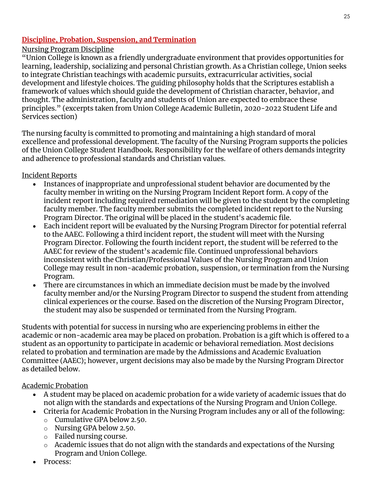#### <span id="page-24-0"></span>**Discipline, Probation, Suspension, and Termination**

#### Nursing Program Discipline

"Union College is known as a friendly undergraduate environment that provides opportunities for learning, leadership, socializing and personal Christian growth. As a Christian college, Union seeks to integrate Christian teachings with academic pursuits, extracurricular activities, social development and lifestyle choices. The guiding philosophy holds that the Scriptures establish a framework of values which should guide the development of Christian character, behavior, and thought. The administration, faculty and students of Union are expected to embrace these principles." (excerpts taken from Union College Academic Bulletin, 2020-2022 Student Life and Services section)

The nursing faculty is committed to promoting and maintaining a high standard of moral excellence and professional development. The faculty of the Nursing Program supports the policies of the Union College Student Handbook. Responsibility for the welfare of others demands integrity and adherence to professional standards and Christian values.

#### Incident Reports

- Instances of inappropriate and unprofessional student behavior are documented by the faculty member in writing on the Nursing Program Incident Report form. A copy of the incident report including required remediation will be given to the student by the completing faculty member. The faculty member submits the completed incident report to the Nursing Program Director. The original will be placed in the student's academic file.
- Each incident report will be evaluated by the Nursing Program Director for potential referral to the AAEC. Following a third incident report, the student will meet with the Nursing Program Director. Following the fourth incident report, the student will be referred to the AAEC for review of the student's academic file. Continued unprofessional behaviors inconsistent with the Christian/Professional Values of the Nursing Program and Union College may result in non-academic probation, suspension, or termination from the Nursing Program.
- There are circumstances in which an immediate decision must be made by the involved faculty member and/or the Nursing Program Director to suspend the student from attending clinical experiences or the course. Based on the discretion of the Nursing Program Director, the student may also be suspended or terminated from the Nursing Program.

Students with potential for success in nursing who are experiencing problems in either the academic or non-academic area may be placed on probation. Probation is a gift which is offered to a student as an opportunity to participate in academic or behavioral remediation. Most decisions related to probation and termination are made by the Admissions and Academic Evaluation Committee (AAEC); however, urgent decisions may also be made by the Nursing Program Director as detailed below.

#### Academic Probation

- A student may be placed on academic probation for a wide variety of academic issues that do not align with the standards and expectations of the Nursing Program and Union College.
- Criteria for Academic Probation in the Nursing Program includes any or all of the following:
	- o Cumulative GPA below 2.50.
	- o Nursing GPA below 2.50.
	- o Failed nursing course.
	- $\circ$  Academic issues that do not align with the standards and expectations of the Nursing Program and Union College.
- Process: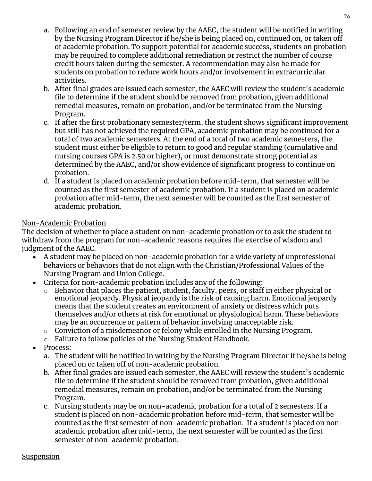- a. Following an end of semester review by the AAEC, the student will be notified in writing by the Nursing Program Director if he/she is being placed on, continued on, or taken off of academic probation. To support potential for academic success, students on probation may be required to complete additional remediation or restrict the number of course credit hours taken during the semester. A recommendation may also be made for students on probation to reduce work hours and/or involvement in extracurricular activities.
- b. After final grades are issued each semester, the AAEC will review the student's academic file to determine if the student should be removed from probation, given additional remedial measures, remain on probation, and/or be terminated from the Nursing Program.
- c. If after the first probationary semester/term, the student shows significant improvement but still has not achieved the required GPA, academic probation may be continued for a total of two academic semesters. At the end of a total of two academic semesters, the student must either be eligible to return to good and regular standing (cumulative and nursing courses GPA is 2.50 or higher), or must demonstrate strong potential as determined by the AAEC, and/or show evidence of significant progress to continue on probation.
- d. If a student is placed on academic probation before mid-term, that semester will be counted as the first semester of academic probation. If a student is placed on academic probation after mid-term, the next semester will be counted as the first semester of academic probation.

#### Non-Academic Probation

The decision of whether to place a student on non-academic probation or to ask the student to withdraw from the program for non-academic reasons requires the exercise of wisdom and judgment of the AAEC.

- A student may be placed on non-academic probation for a wide variety of unprofessional behaviors or behaviors that do not align with the Christian/Professional Values of the Nursing Program and Union College.
- Criteria for non-academic probation includes any of the following:
	- o Behavior that places the patient, student, faculty, peers, or staff in either physical or emotional jeopardy. Physical jeopardy is the risk of causing harm. Emotional jeopardy means that the student creates an environment of anxiety or distress which puts themselves and/or others at risk for emotional or physiological harm. These behaviors may be an occurrence or pattern of behavior involving unacceptable risk.
	- o Conviction of a misdemeanor or felony while enrolled in the Nursing Program.
	- o Failure to follow policies of the Nursing Student Handbook.
- Process:
	- a. The student will be notified in writing by the Nursing Program Director if he/she is being placed on or taken off of non-academic probation.
	- b. After final grades are issued each semester, the AAEC will review the student's academic file to determine if the student should be removed from probation, given additional remedial measures, remain on probation, and/or be terminated from the Nursing Program.
	- c. Nursing students may be on non-academic probation for a total of 2 semesters. If a student is placed on non-academic probation before mid-term, that semester will be counted as the first semester of non-academic probation. If a student is placed on nonacademic probation after mid-term, the next semester will be counted as the first semester of non-academic probation.

#### Suspension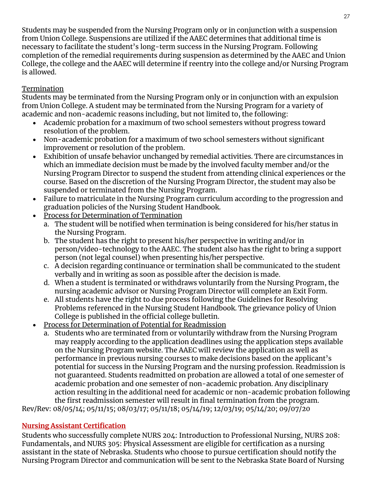Students may be suspended from the Nursing Program only or in conjunction with a suspension from Union College. Suspensions are utilized if the AAEC determines that additional time is necessary to facilitate the student's long-term success in the Nursing Program. Following completion of the remedial requirements during suspension as determined by the AAEC and Union College, the college and the AAEC will determine if reentry into the college and/or Nursing Program is allowed.

# Termination

Students may be terminated from the Nursing Program only or in conjunction with an expulsion from Union College. A student may be terminated from the Nursing Program for a variety of academic and non-academic reasons including, but not limited to, the following:

- Academic probation for a maximum of two school semesters without progress toward resolution of the problem.
- Non-academic probation for a maximum of two school semesters without significant improvement or resolution of the problem.
- Exhibition of unsafe behavior unchanged by remedial activities. There are circumstances in which an immediate decision must be made by the involved faculty member and/or the Nursing Program Director to suspend the student from attending clinical experiences or the course. Based on the discretion of the Nursing Program Director, the student may also be suspended or terminated from the Nursing Program.
- Failure to matriculate in the Nursing Program curriculum according to the progression and graduation policies of the Nursing Student Handbook.
- Process for Determination of Termination
	- a. The student will be notified when termination is being considered for his/her status in the Nursing Program.
	- b. The student has the right to present his/her perspective in writing and/or in person/video-technology to the AAEC. The student also has the right to bring a support person (not legal counsel) when presenting his/her perspective.
	- c. A decision regarding continuance or termination shall be communicated to the student verbally and in writing as soon as possible after the decision is made.
	- d. When a student is terminated or withdraws voluntarily from the Nursing Program, the nursing academic advisor or Nursing Program Director will complete an Exit Form.
	- e. All students have the right to due process following the Guidelines for Resolving Problems referenced in the Nursing Student Handbook. The grievance policy of Union College is published in the official college bulletin.
- Process for Determination of Potential for Readmission
	- a. Students who are terminated from or voluntarily withdraw from the Nursing Program may reapply according to the application deadlines using the application steps available on the Nursing Program website. The AAEC will review the application as well as performance in previous nursing courses to make decisions based on the applicant's potential for success in the Nursing Program and the nursing profession. Readmission is not guaranteed. Students readmitted on probation are allowed a total of one semester of academic probation and one semester of non-academic probation. Any disciplinary action resulting in the additional need for academic or non-academic probation following the first readmission semester will result in final termination from the program.

Rev/Rev: 08/05/14; 05/11/15; 08/03/17; 05/11/18; 05/14/19; 12/03/19; 05/14/20; 09/07/20

# <span id="page-26-0"></span>**Nursing Assistant Certification**

Students who successfully complete NURS 204: Introduction to Professional Nursing, NURS 208: Fundamentals, and NURS 305: Physical Assessment are eligible for certification as a nursing assistant in the state of Nebraska. Students who choose to pursue certification should notify the Nursing Program Director and communication will be sent to the Nebraska State Board of Nursing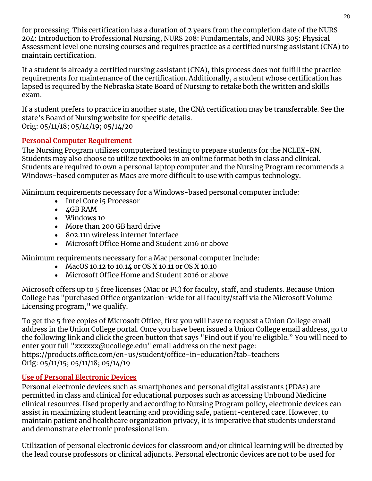for processing. This certification has a duration of 2 years from the completion date of the NURS 204: Introduction to Professional Nursing, NURS 208: Fundamentals, and NURS 305: Physical Assessment level one nursing courses and requires practice as a certified nursing assistant (CNA) to maintain certification.

If a student is already a certified nursing assistant (CNA), this process does not fulfill the practice requirements for maintenance of the certification. Additionally, a student whose certification has lapsed is required by the Nebraska State Board of Nursing to retake both the written and skills exam.

If a student prefers to practice in another state, the CNA certification may be transferrable. See the state's Board of Nursing website for specific details. Orig: 05/11/18; 05/14/19; 05/14/20

# <span id="page-27-0"></span>**Personal Computer Requirement**

The Nursing Program utilizes computerized testing to prepare students for the NCLEX-RN. Students may also choose to utilize textbooks in an online format both in class and clinical. Students are required to own a personal laptop computer and the Nursing Program recommends a Windows-based computer as Macs are more difficult to use with campus technology.

Minimum requirements necessary for a Windows-based personal computer include:

- Intel Core i5 Processor
- 4GB RAM
- Windows 10
- More than 200 GB hard drive
- 802.11n wireless internet interface
- Microsoft Office Home and Student 2016 or above

Minimum requirements necessary for a Mac personal computer include:

- MacOS 10.12 to 10.14 or OS X 10.11 or OS X 10.10
- Microsoft Office Home and Student 2016 or above

Microsoft offers up to 5 free licenses (Mac or PC) for faculty, staff, and students. Because Union College has "purchased Office organization-wide for all faculty/staff via the Microsoft Volume Licensing program," we qualify.

To get the 5 free copies of Microsoft Office, first you will have to request a Union College email address in the Union College portal. Once you have been issued a Union College email address, go to the following link and click the green button that says "Find out if you're eligible." You will need to enter your full "xxxxxx@ucollege.edu" email address on the next page: https://products.office.com/en-us/student/office-in-education?tab=teachers Orig: 05/11/15; 05/11/18; 05/14/19

#### <span id="page-27-1"></span>**Use of Personal Electronic Devices**

Personal electronic devices such as smartphones and personal digital assistants (PDAs) are permitted in class and clinical for educational purposes such as accessing Unbound Medicine clinical resources. Used properly and according to Nursing Program policy, electronic devices can assist in maximizing student learning and providing safe, patient-centered care. However, to maintain patient and healthcare organization privacy, it is imperative that students understand and demonstrate electronic professionalism.

Utilization of personal electronic devices for classroom and/or clinical learning will be directed by the lead course professors or clinical adjuncts. Personal electronic devices are not to be used for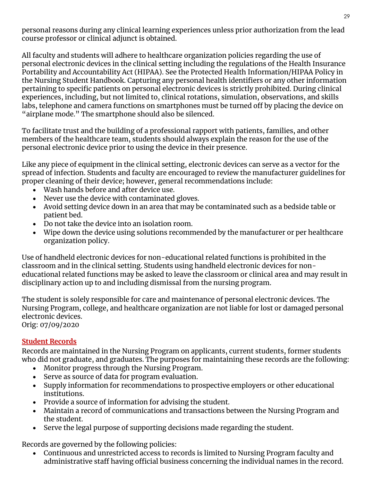personal reasons during any clinical learning experiences unless prior authorization from the lead course professor or clinical adjunct is obtained.

All faculty and students will adhere to healthcare organization policies regarding the use of personal electronic devices in the clinical setting including the regulations of the Health Insurance Portability and Accountability Act (HIPAA). See the Protected Health Information/HIPAA Policy in the Nursing Student Handbook. Capturing any personal health identifiers or any other information pertaining to specific patients on personal electronic devices is strictly prohibited. During clinical experiences, including, but not limited to, clinical rotations, simulation, observations, and skills labs, telephone and camera functions on smartphones must be turned off by placing the device on "airplane mode." The smartphone should also be silenced.

To facilitate trust and the building of a professional rapport with patients, families, and other members of the healthcare team, students should always explain the reason for the use of the personal electronic device prior to using the device in their presence.

Like any piece of equipment in the clinical setting, electronic devices can serve as a vector for the spread of infection. Students and faculty are encouraged to review the manufacturer guidelines for proper cleaning of their device; however, general recommendations include:

- Wash hands before and after device use.
- Never use the device with contaminated gloves.
- Avoid setting device down in an area that may be contaminated such as a bedside table or patient bed.
- Do not take the device into an isolation room.
- Wipe down the device using solutions recommended by the manufacturer or per healthcare organization policy.

Use of handheld electronic devices for non-educational related functions is prohibited in the classroom and in the clinical setting. Students using handheld electronic devices for noneducational related functions may be asked to leave the classroom or clinical area and may result in disciplinary action up to and including dismissal from the nursing program.

The student is solely responsible for care and maintenance of personal electronic devices. The Nursing Program, college, and healthcare organization are not liable for lost or damaged personal electronic devices.

Orig: 07/09/2020

#### <span id="page-28-0"></span>**Student Records**

Records are maintained in the Nursing Program on applicants, current students, former students who did not graduate, and graduates. The purposes for maintaining these records are the following:

- Monitor progress through the Nursing Program.
- Serve as source of data for program evaluation.
- Supply information for recommendations to prospective employers or other educational institutions.
- Provide a source of information for advising the student.
- Maintain a record of communications and transactions between the Nursing Program and the student.
- Serve the legal purpose of supporting decisions made regarding the student.

Records are governed by the following policies:

• Continuous and unrestricted access to records is limited to Nursing Program faculty and administrative staff having official business concerning the individual names in the record.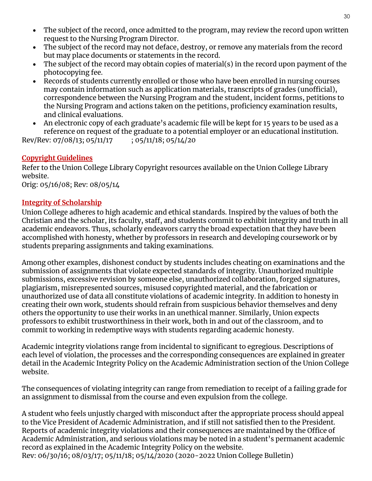- The subject of the record, once admitted to the program, may review the record upon written request to the Nursing Program Director.
- The subject of the record may not deface, destroy, or remove any materials from the record but may place documents or statements in the record.
- The subject of the record may obtain copies of material(s) in the record upon payment of the photocopying fee.
- Records of students currently enrolled or those who have been enrolled in nursing courses may contain information such as application materials, transcripts of grades (unofficial), correspondence between the Nursing Program and the student, incident forms, petitions to the Nursing Program and actions taken on the petitions, proficiency examination results, and clinical evaluations.
- An electronic copy of each graduate's academic file will be kept for 15 years to be used as a reference on request of the graduate to a potential employer or an educational institution.

Rev/Rev: 07/08/13; 05/11/17 ; 05/11/18; 05/14/20

# <span id="page-29-0"></span>**Copyright Guidelines**

Refer to the Union College Library Copyright resources available on the Union College Library website.

Orig: 05/16/08; Rev: 08/05/14

#### <span id="page-29-1"></span>**Integrity of Scholarship**

Union College adheres to high academic and ethical standards. Inspired by the values of both the Christian and the scholar, its faculty, staff, and students commit to exhibit integrity and truth in all academic endeavors. Thus, scholarly endeavors carry the broad expectation that they have been accomplished with honesty, whether by professors in research and developing coursework or by students preparing assignments and taking examinations.

Among other examples, dishonest conduct by students includes cheating on examinations and the submission of assignments that violate expected standards of integrity. Unauthorized multiple submissions, excessive revision by someone else, unauthorized collaboration, forged signatures, plagiarism, misrepresented sources, misused copyrighted material, and the fabrication or unauthorized use of data all constitute violations of academic integrity. In addition to honesty in creating their own work, students should refrain from suspicious behavior themselves and deny others the opportunity to use their works in an unethical manner. Similarly, Union expects professors to exhibit trustworthiness in their work, both in and out of the classroom, and to commit to working in redemptive ways with students regarding academic honesty.

Academic integrity violations range from incidental to significant to egregious. Descriptions of each level of violation, the processes and the corresponding consequences are explained in greater detail in the Academic Integrity Policy on the Academic Administration section of the Union College website.

The consequences of violating integrity can range from remediation to receipt of a failing grade for an assignment to dismissal from the course and even expulsion from the college.

A student who feels unjustly charged with misconduct after the appropriate process should appeal to the Vice President of Academic Administration, and if still not satisfied then to the President. Reports of academic integrity violations and their consequences are maintained by the Office of Academic Administration, and serious violations may be noted in a student's permanent academic record as explained in the Academic Integrity Policy on the website. Rev: 06/30/16; 08/03/17; 05/11/18; 05/14/2020 (2020-2022 Union College Bulletin)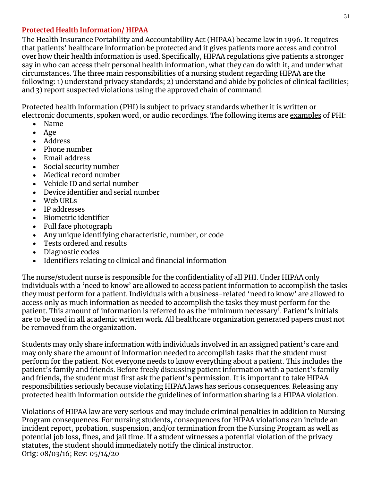#### <span id="page-30-0"></span>**Protected Health Information/ HIPAA**

The Health Insurance Portability and Accountability Act (HIPAA) became law in 1996. It requires that patients' healthcare information be protected and it gives patients more access and control over how their health information is used. Specifically, HIPAA regulations give patients a stronger say in who can access their personal health information, what they can do with it, and under what circumstances. The three main responsibilities of a nursing student regarding HIPAA are the following: 1) understand privacy standards; 2) understand and abide by policies of clinical facilities; and 3) report suspected violations using the approved chain of command.

Protected health information (PHI) is subject to privacy standards whether it is written or electronic documents, spoken word, or audio recordings. The following items are examples of PHI:

- Name
- Age
- Address
- Phone number
- Email address
- Social security number
- Medical record number
- Vehicle ID and serial number
- Device identifier and serial number
- Web URLs
- IP addresses
- Biometric identifier
- Full face photograph
- Any unique identifying characteristic, number, or code
- Tests ordered and results
- Diagnostic codes
- Identifiers relating to clinical and financial information

The nurse/student nurse is responsible for the confidentiality of all PHI. Under HIPAA only individuals with a 'need to know' are allowed to access patient information to accomplish the tasks they must perform for a patient. Individuals with a business-related 'need to know' are allowed to access only as much information as needed to accomplish the tasks they must perform for the patient. This amount of information is referred to as the 'minimum necessary'. Patient's initials are to be used in all academic written work. All healthcare organization generated papers must not be removed from the organization.

Students may only share information with individuals involved in an assigned patient's care and may only share the amount of information needed to accomplish tasks that the student must perform for the patient. Not everyone needs to know everything about a patient. This includes the patient's family and friends. Before freely discussing patient information with a patient's family and friends, the student must first ask the patient's permission. It is important to take HIPAA responsibilities seriously because violating HIPAA laws has serious consequences. Releasing any protected health information outside the guidelines of information sharing is a HIPAA violation.

Violations of HIPAA law are very serious and may include criminal penalties in addition to Nursing Program consequences. For nursing students, consequences for HIPAA violations can include an incident report, probation, suspension, and/or termination from the Nursing Program as well as potential job loss, fines, and jail time. If a student witnesses a potential violation of the privacy statutes, the student should immediately notify the clinical instructor. Orig: 08/03/16; Rev: 05/14/20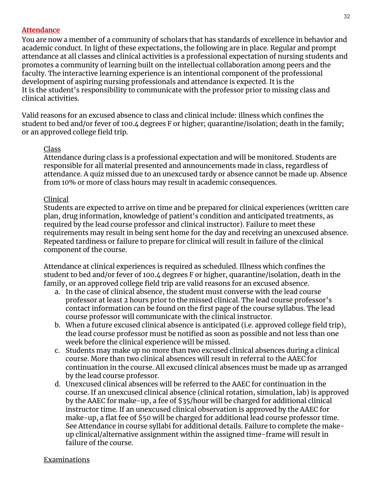#### <span id="page-31-0"></span>**Attendance**

You are now a member of a community of scholars that has standards of excellence in behavior and academic conduct. In light of these expectations, the following are in place. Regular and prompt attendance at all classes and clinical activities is a professional expectation of nursing students and promotes a community of learning built on the intellectual collaboration among peers and the faculty. The interactive learning experience is an intentional component of the professional development of aspiring nursing professionals and attendance is expected. It is the It is the student's responsibility to communicate with the professor prior to missing class and clinical activities.

Valid reasons for an excused absence to class and clinical include: illness which confines the student to bed and/or fever of 100.4 degrees F or higher; quarantine/isolation; death in the family; or an approved college field trip.

#### Class

Attendance during class is a professional expectation and will be monitored. Students are responsible for all material presented and announcements made in class, regardless of attendance. A quiz missed due to an unexcused tardy or absence cannot be made up. Absence from 10% or more of class hours may result in academic consequences.

#### Clinical

Students are expected to arrive on time and be prepared for clinical experiences (written care plan, drug information, knowledge of patient's condition and anticipated treatments, as required by the lead course professor and clinical instructor). Failure to meet these requirements may result in being sent home for the day and receiving an unexcused absence. Repeated tardiness or failure to prepare for clinical will result in failure of the clinical component of the course.

Attendance at clinical experiences is required as scheduled. Illness which confines the student to bed and/or fever of 100.4 degrees F or higher, quarantine/isolation, death in the family, or an approved college field trip are valid reasons for an excused absence.

- a. In the case of clinical absence, the student must converse with the lead course professor at least 2 hours prior to the missed clinical. The lead course professor's contact information can be found on the first page of the course syllabus. The lead course professor will communicate with the clinical instructor.
- b. When a future excused clinical absence is anticipated (i.e. approved college field trip), the lead course professor must be notified as soon as possible and not less than one week before the clinical experience will be missed.
- c. Students may make up no more than two excused clinical absences during a clinical course. More than two clinical absences will result in referral to the AAEC for continuation in the course. All excused clinical absences must be made up as arranged by the lead course professor.
- d. Unexcused clinical absences will be referred to the AAEC for continuation in the course. If an unexcused clinical absence (clinical rotation, simulation, lab) is approved by the AAEC for make-up, a fee of \$35/hour will be charged for additional clinical instructor time. If an unexcused clinical observation is approved by the AAEC for make-up, a flat fee of \$50 will be charged for additional lead course professor time. See Attendance in course syllabi for additional details. Failure to complete the makeup clinical/alternative assignment within the assigned time-frame will result in failure of the course.

#### Examinations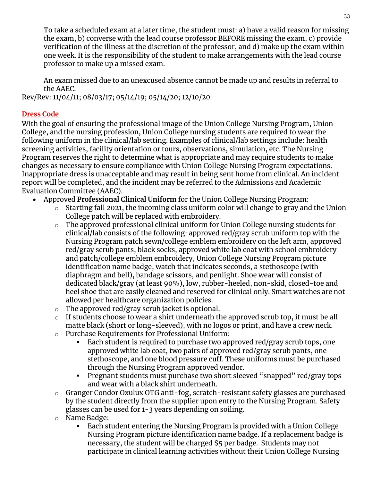To take a scheduled exam at a later time, the student must: a) have a valid reason for missing the exam, b) converse with the lead course professor BEFORE missing the exam, c) provide verification of the illness at the discretion of the professor, and d) make up the exam within one week. It is the responsibility of the student to make arrangements with the lead course professor to make up a missed exam.

An exam missed due to an unexcused absence cannot be made up and results in referral to the AAEC.

Rev/Rev: 11/04/11; 08/03/17; 05/14/19; 05/14/20; 12/10/20

#### <span id="page-32-0"></span>**Dress Code**

With the goal of ensuring the professional image of the Union College Nursing Program, Union College, and the nursing profession, Union College nursing students are required to wear the following uniform in the clinical/lab setting. Examples of clinical/lab settings include: health screening activities, facility orientation or tours, observations, simulation, etc. The Nursing Program reserves the right to determine what is appropriate and may require students to make changes as necessary to ensure compliance with Union College Nursing Program expectations. Inappropriate dress is unacceptable and may result in being sent home from clinical. An incident report will be completed, and the incident may be referred to the Admissions and Academic Evaluation Committee (AAEC).

- Approved **Professional Clinical Uniform** for the Union College Nursing Program:
	- $\circ$  Starting fall 2021, the incoming class uniform color will change to gray and the Union College patch will be replaced with embroidery.
	- o The approved professional clinical uniform for Union College nursing students for clinical/lab consists of the following: approved red/gray scrub uniform top with the Nursing Program patch sewn/college emblem embroidery on the left arm, approved red/gray scrub pants, black socks, approved white lab coat with school embroidery and patch/college emblem embroidery, Union College Nursing Program picture identification name badge, watch that indicates seconds, a stethoscope (with diaphragm and bell), bandage scissors, and penlight. Shoe wear will consist of dedicated black/gray (at least 90%), low, rubber-heeled, non-skid, closed-toe and heel shoe that are easily cleaned and reserved for clinical only. Smart watches are not allowed per healthcare organization policies.
	- o The approved red/gray scrub jacket is optional.
	- $\circ$  If students choose to wear a shirt underneath the approved scrub top, it must be all matte black (short or long-sleeved), with no logos or print, and have a crew neck.
	- o Purchase Requirements for Professional Uniform:
		- Each student is required to purchase two approved red/gray scrub tops, one approved white lab coat, two pairs of approved red/gray scrub pants, one stethoscope, and one blood pressure cuff. These uniforms must be purchased through the Nursing Program approved vendor.
		- **•** Pregnant students must purchase two short sleeved "snapped" red/gray tops and wear with a black shirt underneath.
	- o [Granger Condor Oxulux OTG anti-fog,](https://www.grainger.com/product/4VCD5?cm_mmc=EMT-_-OrderConf2017Refresh-_-Offline-_-Item&RIID=36382511995&GID=&mid=OrderConfirmation&rfe=71157656a8b0bde4b063db212aed85f970d5afc77b2be128c11a95612b668bf3) scratch-resistant safety glasses are purchased by the student directly from the supplier upon entry to the Nursing Program. Safety glasses can be used for 1-3 years depending on soiling.
	- o Name Badge:
		- Each student entering the Nursing Program is provided with a Union College Nursing Program picture identification name badge. If a replacement badge is necessary, the student will be charged \$5 per badge. Students may not participate in clinical learning activities without their Union College Nursing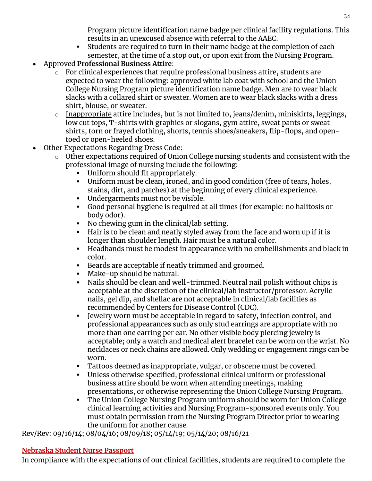Program picture identification name badge per clinical facility regulations. This results in an unexcused absence with referral to the AAEC.

- **EXECT AT Students are required to turn in their name badge at the completion of each** semester, at the time of a stop out, or upon exit from the Nursing Program.
- Approved **Professional Business Attire**:
	- $\circ$  For clinical experiences that require professional business attire, students are expected to wear the following: approved white lab coat with school and the Union College Nursing Program picture identification name badge. Men are to wear black slacks with a collared shirt or sweater. Women are to wear black slacks with a dress shirt, blouse, or sweater.
	- $\circ$  Inappropriate attire includes, but is not limited to, jeans/denim, miniskirts, leggings, low cut tops, T-shirts with graphics or slogans, gym attire, sweat pants or sweat shirts, torn or frayed clothing, shorts, tennis shoes/sneakers, flip-flops, and opentoed or open-heeled shoes.
- Other Expectations Regarding Dress Code:
	- o Other expectations required of Union College nursing students and consistent with the professional image of nursing include the following:
		- Uniform should fit appropriately.
		- Uniform must be clean, ironed, and in good condition (free of tears, holes, stains, dirt, and patches) at the beginning of every clinical experience.
		- Undergarments must not be visible.
		- Good personal hygiene is required at all times (for example: no halitosis or body odor).
		- No chewing gum in the clinical/lab setting.
		- Hair is to be clean and neatly styled away from the face and worn up if it is longer than shoulder length. Hair must be a natural color.
		- Headbands must be modest in appearance with no embellishments and black in color.
		- Beards are acceptable if neatly trimmed and groomed.
		- Make-up should be natural.
		- Nails should be clean and well-trimmed. Neutral nail polish without chips is acceptable at the discretion of the clinical/lab instructor/professor. Acrylic nails, gel dip, and shellac are not acceptable in clinical/lab facilities as recommended by Centers for Disease Control (CDC).
		- Jewelry worn must be acceptable in regard to safety, infection control, and professional appearances such as only stud earrings are appropriate with no more than one earring per ear. No other visible body piercing jewelry is acceptable; only a watch and medical alert bracelet can be worn on the wrist. No necklaces or neck chains are allowed. Only wedding or engagement rings can be worn.
		- Tattoos deemed as inappropriate, vulgar, or obscene must be covered.
		- Unless otherwise specified, professional clinical uniform or professional business attire should be worn when attending meetings, making presentations, or otherwise representing the Union College Nursing Program.
		- The Union College Nursing Program uniform should be worn for Union College clinical learning activities and Nursing Program-sponsored events only. You must obtain permission from the Nursing Program Director prior to wearing the uniform for another cause.

Rev/Rev: 09/16/14; 08/04/16; 08/09/18; 05/14/19; 05/14/20; 08/16/21

# <span id="page-33-0"></span>**Nebraska Student Nurse Passport**

In compliance with the expectations of our clinical facilities, students are required to complete the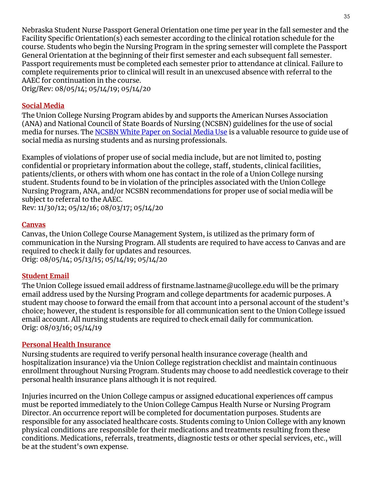Nebraska Student Nurse Passport General Orientation one time per year in the fall semester and the Facility Specific Orientation(s) each semester according to the clinical rotation schedule for the course. Students who begin the Nursing Program in the spring semester will complete the Passport General Orientation at the beginning of their first semester and each subsequent fall semester. Passport requirements must be completed each semester prior to attendance at clinical. Failure to complete requirements prior to clinical will result in an unexcused absence with referral to the AAEC for continuation in the course.

Orig/Rev: 08/05/14; 05/14/19; 05/14/20

#### <span id="page-34-0"></span>**Social Media**

The Union College Nursing Program abides by and supports the American Nurses Association (ANA) and National Council of State Boards of Nursing (NCSBN) guidelines for the use of social media for nurses. The [NCSBN White Paper on Social Media Use](https://www.ncsbn.org/Social_Media.pdf) is a valuable resource to guide use of social media as nursing students and as nursing professionals.

Examples of violations of proper use of social media include, but are not limited to, posting confidential or proprietary information about the college, staff, students, clinical facilities, patients/clients, or others with whom one has contact in the role of a Union College nursing student. Students found to be in violation of the principles associated with the Union College Nursing Program, ANA, and/or NCSBN recommendations for proper use of social media will be subject to referral to the AAEC.

Rev: 11/30/12; 05/12/16; 08/03/17; 05/14/20

#### <span id="page-34-1"></span>**Canvas**

Canvas, the Union College Course Management System, is utilized as the primary form of communication in the Nursing Program. All students are required to have access to Canvas and are required to check it daily for updates and resources. Orig: 08/05/14; 05/13/15; 05/14/19; 05/14/20

#### <span id="page-34-2"></span>**Student Email**

The Union College issued email address of firstname.lastname@ucollege.edu will be the primary email address used by the Nursing Program and college departments for academic purposes. A student may choose to forward the email from that account into a personal account of the student's choice; however, the student is responsible for all communication sent to the Union College issued email account. All nursing students are required to check email daily for communication. Orig: 08/03/16; 05/14/19

#### <span id="page-34-3"></span>**Personal Health Insurance**

Nursing students are required to verify personal health insurance coverage (health and hospitalization insurance) via the Union College registration checklist and maintain continuous enrollment throughout Nursing Program. Students may choose to add needlestick coverage to their personal health insurance plans although it is not required.

Injuries incurred on the Union College campus or assigned educational experiences off campus must be reported immediately to the Union College Campus Health Nurse or Nursing Program Director. An occurrence report will be completed for documentation purposes. Students are responsible for any associated healthcare costs. Students coming to Union College with any known physical conditions are responsible for their medications and treatments resulting from these conditions. Medications, referrals, treatments, diagnostic tests or other special services, etc., will be at the student's own expense.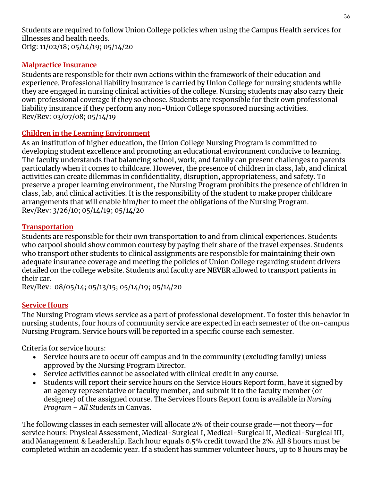Students are required to follow Union College policies when using the Campus Health services for illnesses and health needs. Orig: 11/02/18; 05/14/19; 05/14/20

#### <span id="page-35-0"></span>**Malpractice Insurance**

Students are responsible for their own actions within the framework of their education and experience. Professional liability insurance is carried by Union College for nursing students while they are engaged in nursing clinical activities of the college. Nursing students may also carry their own professional coverage if they so choose. Students are responsible for their own professional liability insurance if they perform any non-Union College sponsored nursing activities. Rev/Rev: 03/07/08; 05/14/19

#### <span id="page-35-1"></span>**Children in the Learning Environment**

As an institution of higher education, the Union College Nursing Program is committed to developing student excellence and promoting an educational environment conducive to learning. The faculty understands that balancing school, work, and family can present challenges to parents particularly when it comes to childcare. However, the presence of children in class, lab, and clinical activities can create dilemmas in confidentiality, disruption, appropriateness, and safety. To preserve a proper learning environment, the Nursing Program prohibits the presence of children in class, lab, and clinical activities. It is the responsibility of the student to make proper childcare arrangements that will enable him/her to meet the obligations of the Nursing Program. Rev/Rev: 3/26/10; 05/14/19; 05/14/20

#### <span id="page-35-2"></span>**Transportation**

Students are responsible for their own transportation to and from clinical experiences. Students who carpool should show common courtesy by paying their share of the travel expenses. Students who transport other students to clinical assignments are responsible for maintaining their own adequate insurance coverage and meeting the policies of Union College regarding student drivers detailed on the college website. Students and faculty are **NEVER** allowed to transport patients in their car.

Rev/Rev: 08/05/14; 05/13/15; 05/14/19; 05/14/20

#### <span id="page-35-3"></span>**Service Hours**

The Nursing Program views service as a part of professional development. To foster this behavior in nursing students, four hours of community service are expected in each semester of the on-campus Nursing Program. Service hours will be reported in a specific course each semester.

Criteria for service hours:

- Service hours are to occur off campus and in the community (excluding family) unless approved by the Nursing Program Director.
- Service activities cannot be associated with clinical credit in any course.
- Students will report their service hours on the Service Hours Report form, have it signed by an agency representative or faculty member, and submit it to the faculty member (or designee) of the assigned course. The Services Hours Report form is available in *Nursing Program – All Students* in Canvas.

The following classes in each semester will allocate 2% of their course grade—not theory—for service hours: Physical Assessment, Medical-Surgical I, Medical-Surgical II, Medical-Surgical III, and Management & Leadership. Each hour equals 0.5% credit toward the 2%. All 8 hours must be completed within an academic year. If a student has summer volunteer hours, up to 8 hours may be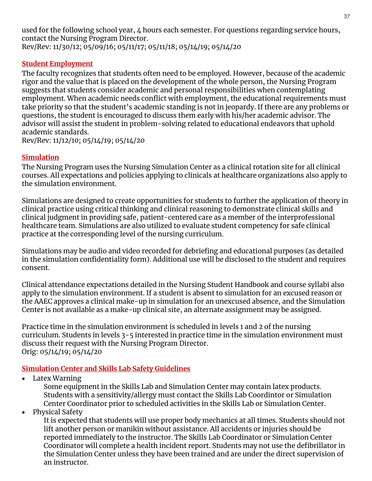used for the following school year, 4 hours each semester. For questions regarding service hours, contact the Nursing Program Director. Rev/Rev: 11/30/12; 05/09/16; 05/11/17; 05/11/18; 05/14/19; 05/14/20

#### <span id="page-36-0"></span>**Student Employment**

The faculty recognizes that students often need to be employed. However, because of the academic rigor and the value that is placed on the development of the whole person, the Nursing Program suggests that students consider academic and personal responsibilities when contemplating employment. When academic needs conflict with employment, the educational requirements must take priority so that the student's academic standing is not in jeopardy. If there are any problems or questions, the student is encouraged to discuss them early with his/her academic advisor. The advisor will assist the student in problem-solving related to educational endeavors that uphold academic standards.

Rev/Rev: 11/12/10; 05/14/19; 05/14/20

# <span id="page-36-1"></span>**Simulation**

The Nursing Program uses the Nursing Simulation Center as a clinical rotation site for all clinical courses. All expectations and policies applying to clinicals at healthcare organizations also apply to the simulation environment.

Simulations are designed to create opportunities for students to further the application of theory in clinical practice using critical thinking and clinical reasoning to demonstrate clinical skills and clinical judgment in providing safe, patient-centered care as a member of the interprofessional healthcare team. Simulations are also utilized to evaluate student competency for safe clinical practice at the corresponding level of the nursing curriculum.

Simulations may be audio and video recorded for debriefing and educational purposes (as detailed in the simulation confidentiality form). Additional use will be disclosed to the student and requires consent.

Clinical attendance expectations detailed in the Nursing Student Handbook and course syllabi also apply to the simulation environment. If a student is absent to simulation for an excused reason or the AAEC approves a clinical make-up in simulation for an unexcused absence, and the Simulation Center is not available as a make-up clinical site, an alternate assignment may be assigned.

Practice time in the simulation environment is scheduled in levels 1 and 2 of the nursing curriculum. Students in levels 3-5 interested in practice time in the simulation environment must discuss their request with the Nursing Program Director. Orig: 05/14/19; 05/14/20

#### <span id="page-36-2"></span>**Simulation Center and Skills Lab Safety Guidelines**

• Latex Warning

Some equipment in the Skills Lab and Simulation Center may contain latex products. Students with a sensitivity/allergy must contact the Skills Lab Coordintor or Simulation Center Coordinator prior to scheduled activities in the Skills Lab or Simulation Center.

• Physical Safety

It is expected that students will use proper body mechanics at all times. Students should not lift another person or manikin without assistance. All accidents or injuries should be reported immediately to the instructor. The Skills Lab Coordinator or Simulation Center Coordinator will complete a health incident report. Students may not use the defibrillator in the Simulation Center unless they have been trained and are under the direct supervision of an instructor.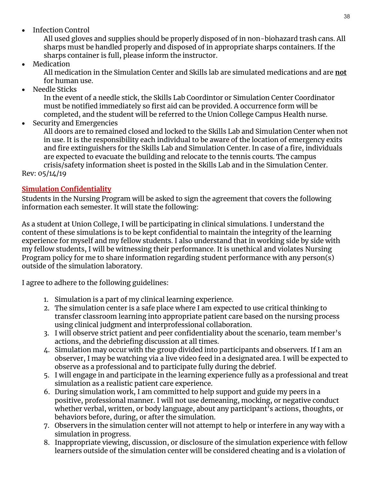• Infection Control

All used gloves and supplies should be properly disposed of in non-biohazard trash cans. All sharps must be handled properly and disposed of in appropriate sharps containers. If the sharps container is full, please inform the instructor.

• Medication

All medication in the Simulation Center and Skills lab are simulated medications and are **not** for human use.

• Needle Sticks

In the event of a needle stick, the Skills Lab Coordintor or Simulation Center Coordinator must be notified immediately so first aid can be provided. A occurrence form will be completed, and the student will be referred to the Union College Campus Health nurse.

• Security and Emergencies

All doors are to remained closed and locked to the Skills Lab and Simulation Center when not in use. It is the responsibility each individual to be aware of the location of emergency exits and fire extinguishers for the Skills Lab and Simulation Center. In case of a fire, individuals are expected to evacuate the building and relocate to the tennis courts. The campus crisis/safety information sheet is posted in the Skills Lab and in the Simulation Center.

Rev: 05/14/19

#### <span id="page-37-0"></span>**Simulation Confidentiality**

Students in the Nursing Program will be asked to sign the agreement that covers the following information each semester. It will state the following:

As a student at Union College, I will be participating in clinical simulations. I understand the content of these simulations is to be kept confidential to maintain the integrity of the learning experience for myself and my fellow students. I also understand that in working side by side with my fellow students, I will be witnessing their performance. It is unethical and violates Nursing Program policy for me to share information regarding student performance with any person(s) outside of the simulation laboratory.

I agree to adhere to the following guidelines:

- 1. Simulation is a part of my clinical learning experience.
- 2. The simulation center is a safe place where I am expected to use critical thinking to transfer classroom learning into appropriate patient care based on the nursing process using clinical judgment and interprofessional collaboration.
- 3. I will observe strict patient and peer confidentiality about the scenario, team member's actions, and the debriefing discussion at all times.
- 4. Simulation may occur with the group divided into participants and observers. If I am an observer, I may be watching via a live video feed in a designated area. I will be expected to observe as a professional and to participate fully during the debrief.
- 5. I will engage in and participate in the learning experience fully as a professional and treat simulation as a realistic patient care experience.
- 6. During simulation work, I am committed to help support and guide my peers in a positive, professional manner. I will not use demeaning, mocking, or negative conduct whether verbal, written, or body language, about any participant's actions, thoughts, or behaviors before, during, or after the simulation.
- 7. Observers in the simulation center will not attempt to help or interfere in any way with a simulation in progress.
- 8. Inappropriate viewing, discussion, or disclosure of the simulation experience with fellow learners outside of the simulation center will be considered cheating and is a violation of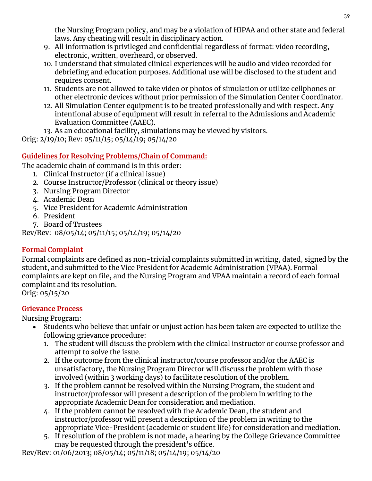the Nursing Program policy, and may be a violation of HIPAA and other state and federal laws. Any cheating will result in disciplinary action.

- 9. All information is privileged and confidential regardless of format: video recording, electronic, written, overheard, or observed.
- 10. I understand that simulated clinical experiences will be audio and video recorded for debriefing and education purposes. Additional use will be disclosed to the student and requires consent.
- 11. Students are not allowed to take video or photos of simulation or utilize cellphones or other electronic devices without prior permission of the Simulation Center Coordinator.
- 12. All Simulation Center equipment is to be treated professionally and with respect. Any intentional abuse of equipment will result in referral to the Admissions and Academic Evaluation Committee (AAEC).

13. As an educational facility, simulations may be viewed by visitors.

Orig: 2/19/10; Rev: 05/11/15; 05/14/19; 05/14/20

# <span id="page-38-0"></span>**Guidelines for Resolving Problems/Chain of Command:**

The academic chain of command is in this order:

- 1. Clinical Instructor (if a clinical issue)
- 2. Course Instructor/Professor (clinical or theory issue)
- 3. Nursing Program Director
- 4. Academic Dean
- 5. Vice President for Academic Administration
- 6. President
- 7. Board of Trustees

Rev/Rev: 08/05/14; 05/11/15; 05/14/19; 05/14/20

# <span id="page-38-1"></span>**Formal Complaint**

Formal complaints are defined as non-trivial complaints submitted in writing, dated, signed by the student, and submitted to the Vice President for Academic Administration (VPAA). Formal complaints are kept on file, and the Nursing Program and VPAA maintain a record of each formal complaint and its resolution.

Orig: 05/15/20

# <span id="page-38-2"></span>**Grievance Process**

Nursing Program:

- Students who believe that unfair or unjust action has been taken are expected to utilize the following grievance procedure:
	- 1. The student will discuss the problem with the clinical instructor or course professor and attempt to solve the issue.
	- 2. If the outcome from the clinical instructor/course professor and/or the AAEC is unsatisfactory, the Nursing Program Director will discuss the problem with those involved (within 3 working days) to facilitate resolution of the problem.
	- 3. If the problem cannot be resolved within the Nursing Program, the student and instructor/professor will present a description of the problem in writing to the appropriate Academic Dean for consideration and mediation.
	- 4. If the problem cannot be resolved with the Academic Dean, the student and instructor/professor will present a description of the problem in writing to the appropriate Vice-President (academic or student life) for consideration and mediation.
	- 5. If resolution of the problem is not made, a hearing by the College Grievance Committee may be requested through the president's office.

Rev/Rev: 01/06/2013; 08/05/14; 05/11/18; 05/14/19; 05/14/20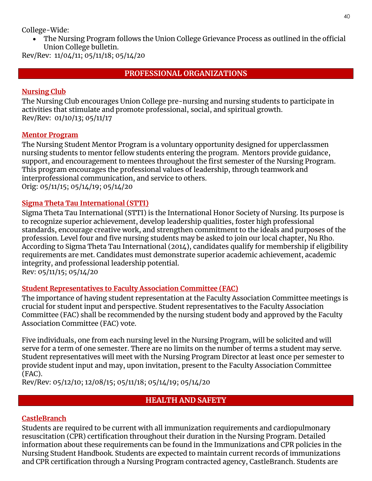College-Wide:

• The Nursing Program follows the Union College Grievance Process as outlined in the official Union College bulletin.

<span id="page-39-0"></span>Rev/Rev: 11/04/11; 05/11/18; 05/14/20

# **PROFESSIONAL ORGANIZATIONS**

## <span id="page-39-1"></span>**Nursing Club**

The Nursing Club encourages Union College pre-nursing and nursing students to participate in activities that stimulate and promote professional, social, and spiritual growth. Rev/Rev: 01/10/13; 05/11/17

#### <span id="page-39-2"></span>**Mentor Program**

The Nursing Student Mentor Program is a voluntary opportunity designed for upperclassmen nursing students to mentor fellow students entering the program. Mentors provide guidance, support, and encouragement to mentees throughout the first semester of the Nursing Program. This program encourages the professional values of leadership, through teamwork and interprofessional communication, and service to others. Orig: 05/11/15; 05/14/19; 05/14/20

# <span id="page-39-3"></span>**Sigma Theta Tau International (STTI)**

Sigma Theta Tau International (STTI) is the International Honor Society of Nursing. Its purpose is to recognize superior achievement, develop leadership qualities, foster high professional standards, encourage creative work, and strengthen commitment to the ideals and purposes of the profession. Level four and five nursing students may be asked to join our local chapter, Nu Rho. According to Sigma Theta Tau International (2014), candidates qualify for membership if eligibility requirements are met. Candidates must demonstrate superior academic achievement, academic integrity, and professional leadership potential. Rev: 05/11/15; 05/14/20

#### <span id="page-39-4"></span>**Student Representatives to Faculty Association Committee (FAC)**

The importance of having student representation at the Faculty Association Committee meetings is crucial for student input and perspective. Student representatives to the Faculty Association Committee (FAC) shall be recommended by the nursing student body and approved by the Faculty Association Committee (FAC) vote.

Five individuals, one from each nursing level in the Nursing Program, will be solicited and will serve for a term of one semester. There are no limits on the number of terms a student may serve. Student representatives will meet with the Nursing Program Director at least once per semester to provide student input and may, upon invitation, present to the Faculty Association Committee (FAC).

<span id="page-39-5"></span>Rev/Rev: 05/12/10; 12/08/15; 05/11/18; 05/14/19; 05/14/20

# **HEALTH AND SAFETY**

# <span id="page-39-6"></span>**CastleBranch**

Students are required to be current with all immunization requirements and cardiopulmonary resuscitation (CPR) certification throughout their duration in the Nursing Program. Detailed information about these requirements can be found in the Immunizations and CPR policies in the Nursing Student Handbook. Students are expected to maintain current records of immunizations and CPR certification through a Nursing Program contracted agency, CastleBranch. Students are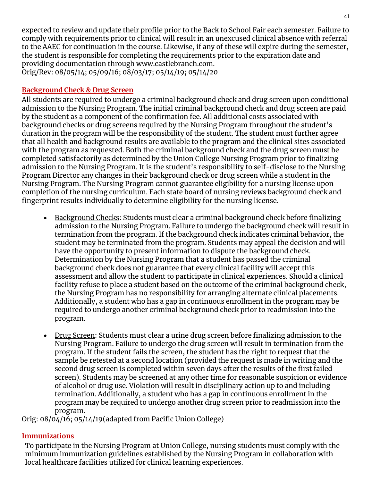expected to review and update their profile prior to the Back to School Fair each semester. Failure to comply with requirements prior to clinical will result in an unexcused clinical absence with referral to the AAEC for continuation in the course. Likewise, if any of these will expire during the semester, the student is responsible for completing the requirements prior to the expiration date and providing documentation through www.castlebranch.com. Orig/Rev: 08/05/14; 05/09/16; 08/03/17; 05/14/19; 05/14/20

#### <span id="page-40-0"></span>**Background Check & Drug Screen**

All students are required to undergo a criminal background check and drug screen upon conditional admission to the Nursing Program. The initial criminal background check and drug screen are paid by the student as a component of the confirmation fee. All additional costs associated with background checks or drug screens required by the Nursing Program throughout the student's duration in the program will be the responsibility of the student. The student must further agree that all health and background results are available to the program and the clinical sites associated with the program as requested. Both the criminal background check and the drug screen must be completed satisfactorily as determined by the Union College Nursing Program prior to finalizing admission to the Nursing Program. It is the student's responsibility to self-disclose to the Nursing Program Director any changes in their background check or drug screen while a student in the Nursing Program. The Nursing Program cannot guarantee eligibility for a nursing license upon completion of the nursing curriculum. Each state board of nursing reviews background check and fingerprint results individually to determine eligibility for the nursing license.

- Background Checks: Students must clear a criminal background check before finalizing admission to the Nursing Program. Failure to undergo the background check will result in termination from the program. If the background check indicates criminal behavior, the student may be terminated from the program. Students may appeal the decision and will have the opportunity to present information to dispute the background check. Determination by the Nursing Program that a student has passed the criminal background check does not guarantee that every clinical facility will accept this assessment and allow the student to participate in clinical experiences. Should a clinical facility refuse to place a student based on the outcome of the criminal background check, the Nursing Program has no responsibility for arranging alternate clinical placements. Additionally, a student who has a gap in continuous enrollment in the program may be required to undergo another criminal background check prior to readmission into the program.
- Drug Screen: Students must clear a urine drug screen before finalizing admission to the Nursing Program. Failure to undergo the drug screen will result in termination from the program. If the student fails the screen, the student has the right to request that the sample be retested at a second location (provided the request is made in writing and the second drug screen is completed within seven days after the results of the first failed screen). Students may be screened at any other time for reasonable suspicion or evidence of alcohol or drug use. Violation will result in disciplinary action up to and including termination. Additionally, a student who has a gap in continuous enrollment in the program may be required to undergo another drug screen prior to readmission into the program.

Orig: 08/04/16; 05/14/19(adapted from Pacific Union College)

#### <span id="page-40-1"></span>**Immunizations**

To participate in the Nursing Program at Union College, nursing students must comply with the minimum immunization guidelines established by the Nursing Program in collaboration with local healthcare facilities utilized for clinical learning experiences.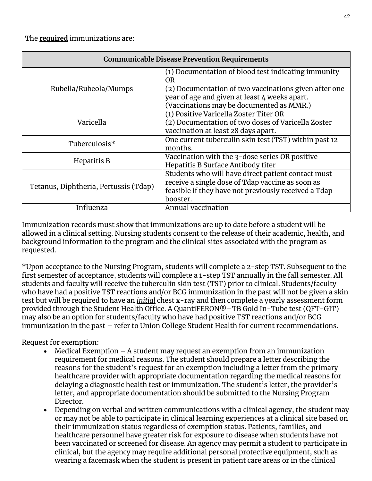| <b>Communicable Disease Prevention Requirements</b> |                                                           |  |  |
|-----------------------------------------------------|-----------------------------------------------------------|--|--|
|                                                     | (1) Documentation of blood test indicating immunity<br>0R |  |  |
| Rubella/Rubeola/Mumps                               | (2) Documentation of two vaccinations given after one     |  |  |
|                                                     | year of age and given at least 4 weeks apart.             |  |  |
|                                                     | (Vaccinations may be documented as MMR.)                  |  |  |
|                                                     | (1) Positive Varicella Zoster Titer OR                    |  |  |
| Varicella                                           | (2) Documentation of two doses of Varicella Zoster        |  |  |
|                                                     | vaccination at least 28 days apart.                       |  |  |
| Tuberculosis*                                       | One current tuberculin skin test (TST) within past 12     |  |  |
|                                                     | months.                                                   |  |  |
|                                                     | Vaccination with the 3-dose series OR positive            |  |  |
| Hepatitis B                                         | Hepatitis B Surface Antibody titer                        |  |  |
|                                                     | Students who will have direct patient contact must        |  |  |
| Tetanus, Diphtheria, Pertussis (Tdap)               | receive a single dose of Tdap vaccine as soon as          |  |  |
|                                                     | feasible if they have not previously received a Tdap      |  |  |
|                                                     | booster.                                                  |  |  |
| Influenza                                           | <b>Annual vaccination</b>                                 |  |  |

Immunization records must show that immunizations are up to date before a student will be allowed in a clinical setting. Nursing students consent to the release of their academic, health, and background information to the program and the clinical sites associated with the program as requested.

\*Upon acceptance to the Nursing Program, students will complete a 2-step TST. Subsequent to the first semester of acceptance, students will complete a 1-step TST annually in the fall semester. All students and faculty will receive the tuberculin skin test (TST) prior to clinical. Students/faculty who have had a positive TST reactions and/or BCG immunization in the past will not be given a skin test but will be required to have an *initial* chest x-ray and then complete a yearly assessment form provided through the Student Health Office. A QuantiFERON®–TB Gold In-Tube test (QFT-GIT) may also be an option for students/faculty who have had positive TST reactions and/or BCG immunization in the past – refer to Union College Student Health for current recommendations.

Request for exemption:

- Medical Exemption  $-$  A student may request an exemption from an immunization requirement for medical reasons. The student should prepare a letter describing the reasons for the student's request for an exemption including a letter from the primary healthcare provider with appropriate documentation regarding the medical reasons for delaying a diagnostic health test or immunization. The student's letter, the provider's letter, and appropriate documentation should be submitted to the Nursing Program Director.
- Depending on verbal and written communications with a clinical agency, the student may or may not be able to participate in clinical learning experiences at a clinical site based on their immunization status regardless of exemption status. Patients, families, and healthcare personnel have greater risk for exposure to disease when students have not been vaccinated or screened for disease. An agency may permit a student to participate in clinical, but the agency may require additional personal protective equipment, such as wearing a facemask when the student is present in patient care areas or in the clinical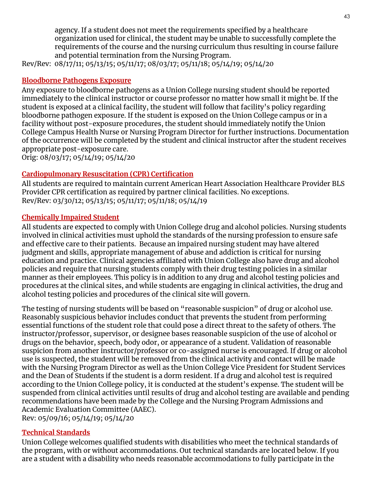agency. If a student does not meet the requirements specified by a healthcare organization used for clinical, the student may be unable to successfully complete the requirements of the course and the nursing curriculum thus resulting in course failure and potential termination from the Nursing Program.

Rev/Rev: 08/17/11; 05/13/15; 05/11/17; 08/03/17; 05/11/18; 05/14/19; 05/14/20

# <span id="page-42-0"></span>**Bloodborne Pathogens Exposure**

Any exposure to bloodborne pathogens as a Union College nursing student should be reported immediately to the clinical instructor or course professor no matter how small it might be. If the student is exposed at a clinical facility, the student will follow that facility's policy regarding bloodborne pathogen exposure. If the student is exposed on the Union College campus or in a facility without post-exposure procedures, the student should immediately notify the Union College Campus Health Nurse or Nursing Program Director for further instructions. Documentation of the occurrence will be completed by the student and clinical instructor after the student receives appropriate post-exposure care.

Orig: 08/03/17; 05/14/19; 05/14/20

# <span id="page-42-1"></span>**Cardiopulmonary Resuscitation (CPR) Certification**

All students are required to maintain current American Heart Association Healthcare Provider BLS Provider CPR certification as required by partner clinical facilities. No exceptions. Rev/Rev: 03/30/12; 05/13/15; 05/11/17; 05/11/18; 05/14/19

# <span id="page-42-2"></span>**Chemically Impaired Student**

All students are expected to comply with Union College drug and alcohol policies. Nursing students involved in clinical activities must uphold the standards of the nursing profession to ensure safe and effective care to their patients. Because an impaired nursing student may have altered judgment and skills, appropriate management of abuse and addiction is critical for nursing education and practice. Clinical agencies affiliated with Union College also have drug and alcohol policies and require that nursing students comply with their drug testing policies in a similar manner as their employees. This policy is in addition to any drug and alcohol testing policies and procedures at the clinical sites, and while students are engaging in clinical activities, the drug and alcohol testing policies and procedures of the clinical site will govern.

The testing of nursing students will be based on "reasonable suspicion" of drug or alcohol use. Reasonably suspicious behavior includes conduct that prevents the student from performing essential functions of the student role that could pose a direct threat to the safety of others. The instructor/professor, supervisor, or designee bases reasonable suspicion of the use of alcohol or drugs on the behavior, speech, body odor, or appearance of a student. Validation of reasonable suspicion from another instructor/professor or co-assigned nurse is encouraged. If drug or alcohol use is suspected, the student will be removed from the clinical activity and contact will be made with the Nursing Program Director as well as the Union College Vice President for Student Services and the Dean of Students if the student is a dorm resident. If a drug and alcohol test is required according to the Union College policy, it is conducted at the student's expense. The student will be suspended from clinical activities until results of drug and alcohol testing are available and pending recommendations have been made by the College and the Nursing Program Admissions and Academic Evaluation Committee (AAEC).

Rev: 05/09/16; 05/14/19; 05/14/20

# <span id="page-42-3"></span>**Technical Standards**

Union College welcomes qualified students with disabilities who meet the technical standards of the program, with or without accommodations. Out technical standards are located below. If you are a student with a disability who needs reasonable accommodations to fully participate in the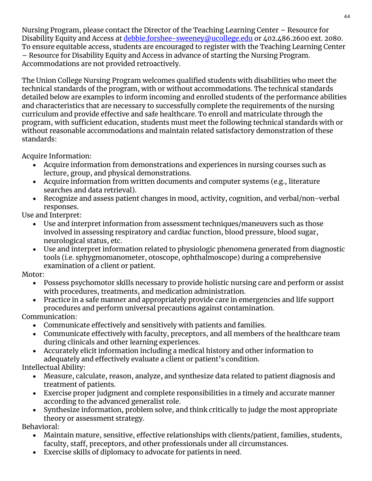Nursing Program, please contact the Director of the Teaching Learning Center – Resource for Disability Equity and Access at [debbie.forshee-sweeney@ucollege.edu](mailto:debbie.forshee-sweeney@ucollege.edu) or 402.486.2600 ext. 2080. To ensure equitable access, students are encouraged to register with the Teaching Learning Center – Resource for Disability Equity and Access in advance of starting the Nursing Program. Accommodations are not provided retroactively.

The Union College Nursing Program welcomes qualified students with disabilities who meet the technical standards of the program, with or without accommodations. The technical standards detailed below are examples to inform incoming and enrolled students of the performance abilities and characteristics that are necessary to successfully complete the requirements of the nursing curriculum and provide effective and safe healthcare. To enroll and matriculate through the program, with sufficient education, students must meet the following technical standards with or without reasonable accommodations and maintain related satisfactory demonstration of these standards:

Acquire Information:

- Acquire information from demonstrations and experiences in nursing courses such as lecture, group, and physical demonstrations.
- Acquire information from written documents and computer systems (e.g., literature searches and data retrieval).
- Recognize and assess patient changes in mood, activity, cognition, and verbal/non-verbal responses.

Use and Interpret:

- Use and interpret information from assessment techniques/maneuvers such as those involved in assessing respiratory and cardiac function, blood pressure, blood sugar, neurological status, etc.
- Use and interpret information related to physiologic phenomena generated from diagnostic tools (i.e. sphygmomanometer, otoscope, ophthalmoscope) during a comprehensive examination of a client or patient.

Motor:

- Possess psychomotor skills necessary to provide holistic nursing care and perform or assist with procedures, treatments, and medication administration.
- Practice in a safe manner and appropriately provide care in emergencies and life support procedures and perform universal precautions against contamination.

Communication:

- Communicate effectively and sensitively with patients and families.
- Communicate effectively with faculty, preceptors, and all members of the healthcare team during clinicals and other learning experiences.
- Accurately elicit information including a medical history and other information to adequately and effectively evaluate a client or patient's condition.

Intellectual Ability:

- Measure, calculate, reason, analyze, and synthesize data related to patient diagnosis and treatment of patients.
- Exercise proper judgment and complete responsibilities in a timely and accurate manner according to the advanced generalist role.
- Synthesize information, problem solve, and think critically to judge the most appropriate theory or assessment strategy.

Behavioral:

- Maintain mature, sensitive, effective relationships with clients/patient, families, students, faculty, staff, preceptors, and other professionals under all circumstances.
- Exercise skills of diplomacy to advocate for patients in need.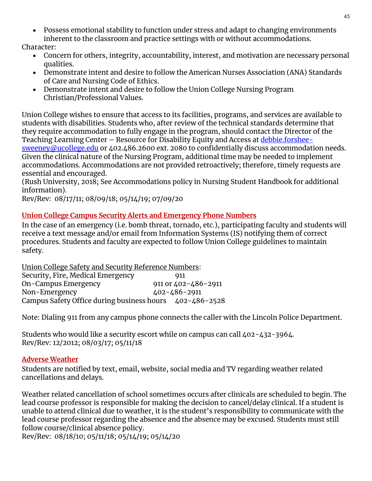• Possess emotional stability to function under stress and adapt to changing environments inherent to the classroom and practice settings with or without accommodations.

Character:

- Concern for others, integrity, accountability, interest, and motivation are necessary personal qualities.
- Demonstrate intent and desire to follow the American Nurses Association (ANA) Standards of Care and Nursing Code of Ethics.
- Demonstrate intent and desire to follow the Union College Nursing Program Christian/Professional Values.

Union College wishes to ensure that access to its facilities, programs, and services are available to students with disabilities. Students who, after review of the technical standards determine that they require accommodation to fully engage in the program, should contact the Director of the Teaching Learning Center – Resource for Disability Equity and Access at [debbie.forshee](mailto:debbie.forshee-sweeney@ucollege.edu)[sweeney@ucollege.edu](mailto:debbie.forshee-sweeney@ucollege.edu) or 402.486.2600 ext. 2080 to confidentially discuss accommodation needs. Given the clinical nature of the Nursing Program, additional time may be needed to implement accommodations. Accommodations are not provided retroactively; therefore, timely requests are essential and encouraged.

(Rush University, 2018; See Accommodations policy in Nursing Student Handbook for additional information).

Rev/Rev: 08/17/11; 08/09/18; 05/14/19; 07/09/20

#### <span id="page-44-0"></span>**Union College Campus Security Alerts and Emergency Phone Numbers**

In the case of an emergency (i.e. bomb threat, tornado, etc.), participating faculty and students will receive a text message and/or email from Information Systems (IS) notifying them of correct procedures. Students and faculty are expected to follow Union College guidelines to maintain safety.

Union College Safety and Security Reference Numbers: Security, Fire, Medical Emergency 911 On-Campus Emergency 911 or 402-486-2911 Non-Emergency 402-486-2911 Campus Safety Office during business hours 402-486-2528

Note: Dialing 911 from any campus phone connects the caller with the Lincoln Police Department.

Students who would like a security escort while on campus can call  $402 - 432 - 3964$ . Rev/Rev: 12/2012; 08/03/17; 05/11/18

#### <span id="page-44-1"></span>**Adverse Weather**

Students are notified by text, email, website, social media and TV regarding weather related cancellations and delays.

Weather related cancellation of school sometimes occurs after clinicals are scheduled to begin. The lead course professor is responsible for making the decision to cancel/delay clinical. If a student is unable to attend clinical due to weather, it is the student's responsibility to communicate with the lead course professor regarding the absence and the absence may be excused. Students must still follow course/clinical absence policy.

Rev/Rev: 08/18/10; 05/11/18; 05/14/19; 05/14/20